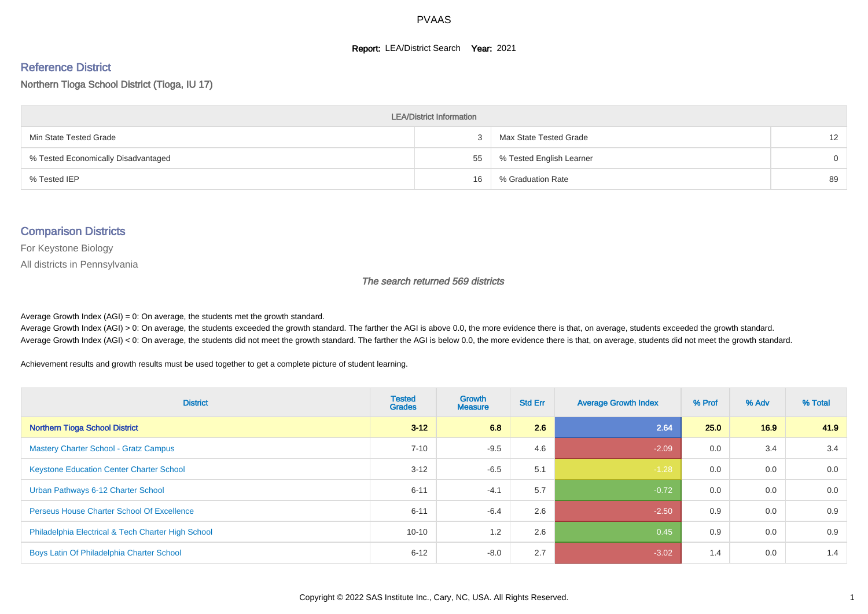#### **Report: LEA/District Search Year: 2021**

# Reference District

Northern Tioga School District (Tioga, IU 17)

| <b>LEA/District Information</b>     |    |                          |                   |  |  |  |  |  |  |  |
|-------------------------------------|----|--------------------------|-------------------|--|--|--|--|--|--|--|
| Min State Tested Grade              |    | Max State Tested Grade   | $12 \overline{ }$ |  |  |  |  |  |  |  |
| % Tested Economically Disadvantaged | 55 | % Tested English Learner | $\Omega$          |  |  |  |  |  |  |  |
| % Tested IEP                        | 16 | % Graduation Rate        | 89                |  |  |  |  |  |  |  |

#### Comparison Districts

For Keystone Biology

All districts in Pennsylvania

The search returned 569 districts

Average Growth Index  $(AGI) = 0$ : On average, the students met the growth standard.

Average Growth Index (AGI) > 0: On average, the students exceeded the growth standard. The farther the AGI is above 0.0, the more evidence there is that, on average, students exceeded the growth standard. Average Growth Index (AGI) < 0: On average, the students did not meet the growth standard. The farther the AGI is below 0.0, the more evidence there is that, on average, students did not meet the growth standard.

Achievement results and growth results must be used together to get a complete picture of student learning.

| <b>District</b>                                    | <b>Tested</b><br><b>Grades</b> | <b>Growth</b><br><b>Measure</b> | <b>Std Err</b> | <b>Average Growth Index</b> | % Prof | % Adv | % Total |
|----------------------------------------------------|--------------------------------|---------------------------------|----------------|-----------------------------|--------|-------|---------|
| <b>Northern Tioga School District</b>              | $3 - 12$                       | 6.8                             | 2.6            | 2.64                        | 25.0   | 16.9  | 41.9    |
| <b>Mastery Charter School - Gratz Campus</b>       | $7 - 10$                       | $-9.5$                          | 4.6            | $-2.09$                     | 0.0    | 3.4   | 3.4     |
| <b>Keystone Education Center Charter School</b>    | $3 - 12$                       | $-6.5$                          | 5.1            | $-1.28$                     | 0.0    | 0.0   | 0.0     |
| Urban Pathways 6-12 Charter School                 | $6 - 11$                       | $-4.1$                          | 5.7            | $-0.72$                     | 0.0    | 0.0   | 0.0     |
| <b>Perseus House Charter School Of Excellence</b>  | $6 - 11$                       | $-6.4$                          | 2.6            | $-2.50$                     | 0.9    | 0.0   | 0.9     |
| Philadelphia Electrical & Tech Charter High School | $10 - 10$                      | 1.2                             | 2.6            | 0.45                        | 0.9    | 0.0   | 0.9     |
| Boys Latin Of Philadelphia Charter School          | $6 - 12$                       | $-8.0$                          | 2.7            | $-3.02$                     | 1.4    | 0.0   | 1.4     |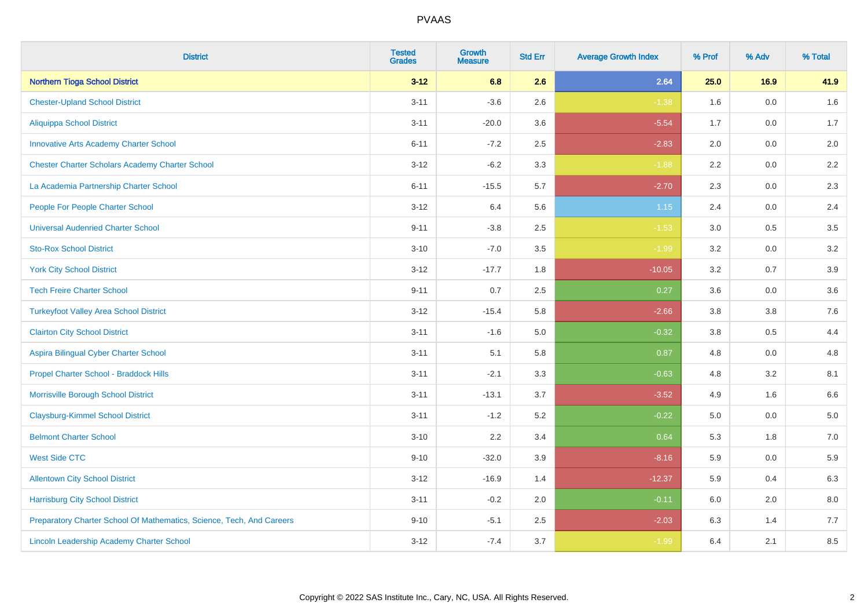| <b>District</b>                                                       | <b>Tested</b><br><b>Grades</b> | <b>Growth</b><br><b>Measure</b> | <b>Std Err</b> | <b>Average Growth Index</b> | % Prof  | % Adv | % Total |
|-----------------------------------------------------------------------|--------------------------------|---------------------------------|----------------|-----------------------------|---------|-------|---------|
| <b>Northern Tioga School District</b>                                 | $3 - 12$                       | 6.8                             | 2.6            | 2.64                        | 25.0    | 16.9  | 41.9    |
| <b>Chester-Upland School District</b>                                 | $3 - 11$                       | $-3.6$                          | 2.6            | $-1.38$                     | 1.6     | 0.0   | $1.6\,$ |
| <b>Aliquippa School District</b>                                      | $3 - 11$                       | $-20.0$                         | 3.6            | $-5.54$                     | 1.7     | 0.0   | 1.7     |
| <b>Innovative Arts Academy Charter School</b>                         | $6 - 11$                       | $-7.2$                          | 2.5            | $-2.83$                     | 2.0     | 0.0   | 2.0     |
| <b>Chester Charter Scholars Academy Charter School</b>                | $3 - 12$                       | $-6.2$                          | 3.3            | $-1.88$                     | 2.2     | 0.0   | $2.2\,$ |
| La Academia Partnership Charter School                                | $6 - 11$                       | $-15.5$                         | 5.7            | $-2.70$                     | 2.3     | 0.0   | 2.3     |
| People For People Charter School                                      | $3 - 12$                       | 6.4                             | 5.6            | 1.15                        | 2.4     | 0.0   | 2.4     |
| <b>Universal Audenried Charter School</b>                             | $9 - 11$                       | $-3.8$                          | 2.5            | $-1.53$                     | 3.0     | 0.5   | 3.5     |
| <b>Sto-Rox School District</b>                                        | $3 - 10$                       | $-7.0$                          | 3.5            | $-1.99$                     | 3.2     | 0.0   | $3.2\,$ |
| <b>York City School District</b>                                      | $3 - 12$                       | $-17.7$                         | 1.8            | $-10.05$                    | 3.2     | 0.7   | 3.9     |
| <b>Tech Freire Charter School</b>                                     | $9 - 11$                       | 0.7                             | 2.5            | 0.27                        | 3.6     | 0.0   | 3.6     |
| <b>Turkeyfoot Valley Area School District</b>                         | $3 - 12$                       | $-15.4$                         | 5.8            | $-2.66$                     | 3.8     | 3.8   | 7.6     |
| <b>Clairton City School District</b>                                  | $3 - 11$                       | $-1.6$                          | 5.0            | $-0.32$                     | $3.8\,$ | 0.5   | 4.4     |
| Aspira Bilingual Cyber Charter School                                 | $3 - 11$                       | 5.1                             | 5.8            | 0.87                        | 4.8     | 0.0   | 4.8     |
| Propel Charter School - Braddock Hills                                | $3 - 11$                       | $-2.1$                          | 3.3            | $-0.63$                     | 4.8     | 3.2   | 8.1     |
| Morrisville Borough School District                                   | $3 - 11$                       | $-13.1$                         | 3.7            | $-3.52$                     | 4.9     | 1.6   | 6.6     |
| <b>Claysburg-Kimmel School District</b>                               | $3 - 11$                       | $-1.2$                          | 5.2            | $-0.22$                     | 5.0     | 0.0   | 5.0     |
| <b>Belmont Charter School</b>                                         | $3 - 10$                       | 2.2                             | 3.4            | 0.64                        | 5.3     | 1.8   | $7.0\,$ |
| <b>West Side CTC</b>                                                  | $9 - 10$                       | $-32.0$                         | 3.9            | $-8.16$                     | 5.9     | 0.0   | 5.9     |
| <b>Allentown City School District</b>                                 | $3 - 12$                       | $-16.9$                         | 1.4            | $-12.37$                    | 5.9     | 0.4   | 6.3     |
| <b>Harrisburg City School District</b>                                | $3 - 11$                       | $-0.2$                          | 2.0            | $-0.11$                     | 6.0     | 2.0   | 8.0     |
| Preparatory Charter School Of Mathematics, Science, Tech, And Careers | $9 - 10$                       | $-5.1$                          | 2.5            | $-2.03$                     | 6.3     | 1.4   | 7.7     |
| Lincoln Leadership Academy Charter School                             | $3 - 12$                       | $-7.4$                          | 3.7            | $-1.99$                     | 6.4     | 2.1   | 8.5     |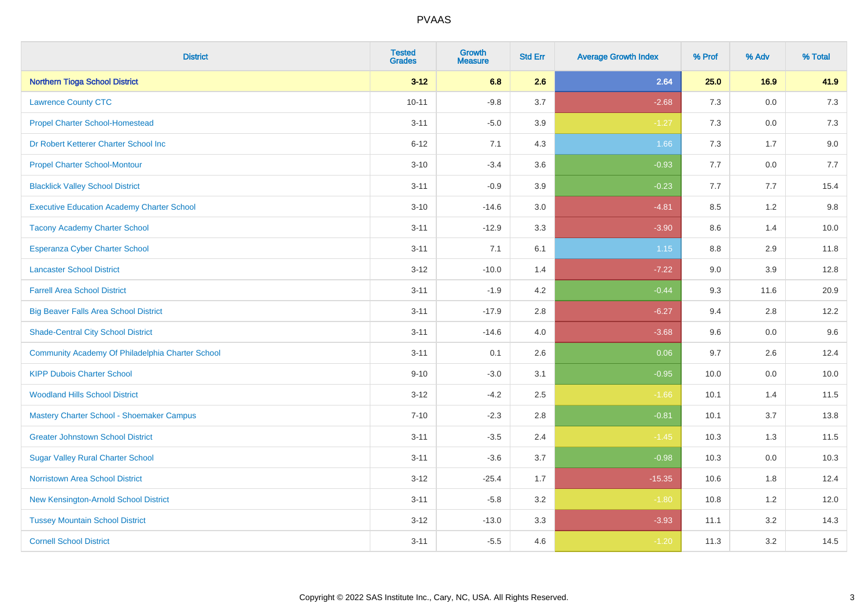| <b>District</b>                                   | <b>Tested</b><br><b>Grades</b> | Growth<br><b>Measure</b> | <b>Std Err</b> | <b>Average Growth Index</b> | % Prof | % Adv   | % Total |
|---------------------------------------------------|--------------------------------|--------------------------|----------------|-----------------------------|--------|---------|---------|
| <b>Northern Tioga School District</b>             | $3 - 12$                       | 6.8                      | 2.6            | 2.64                        | 25.0   | 16.9    | 41.9    |
| <b>Lawrence County CTC</b>                        | $10 - 11$                      | $-9.8$                   | 3.7            | $-2.68$                     | 7.3    | 0.0     | $7.3$   |
| <b>Propel Charter School-Homestead</b>            | $3 - 11$                       | $-5.0$                   | 3.9            | $-1.27$                     | 7.3    | 0.0     | 7.3     |
| Dr Robert Ketterer Charter School Inc             | $6 - 12$                       | 7.1                      | 4.3            | 1.66                        | $7.3$  | 1.7     | 9.0     |
| <b>Propel Charter School-Montour</b>              | $3 - 10$                       | $-3.4$                   | 3.6            | $-0.93$                     | 7.7    | 0.0     | 7.7     |
| <b>Blacklick Valley School District</b>           | $3 - 11$                       | $-0.9$                   | 3.9            | $-0.23$                     | 7.7    | 7.7     | 15.4    |
| <b>Executive Education Academy Charter School</b> | $3 - 10$                       | $-14.6$                  | 3.0            | $-4.81$                     | 8.5    | 1.2     | 9.8     |
| <b>Tacony Academy Charter School</b>              | $3 - 11$                       | $-12.9$                  | 3.3            | $-3.90$                     | 8.6    | 1.4     | 10.0    |
| <b>Esperanza Cyber Charter School</b>             | $3 - 11$                       | 7.1                      | 6.1            | 1.15                        | 8.8    | 2.9     | 11.8    |
| <b>Lancaster School District</b>                  | $3 - 12$                       | $-10.0$                  | 1.4            | $-7.22$                     | 9.0    | 3.9     | 12.8    |
| <b>Farrell Area School District</b>               | $3 - 11$                       | $-1.9$                   | 4.2            | $-0.44$                     | 9.3    | 11.6    | 20.9    |
| <b>Big Beaver Falls Area School District</b>      | $3 - 11$                       | $-17.9$                  | 2.8            | $-6.27$                     | 9.4    | 2.8     | 12.2    |
| <b>Shade-Central City School District</b>         | $3 - 11$                       | $-14.6$                  | 4.0            | $-3.68$                     | 9.6    | 0.0     | 9.6     |
| Community Academy Of Philadelphia Charter School  | $3 - 11$                       | 0.1                      | 2.6            | 0.06                        | 9.7    | 2.6     | 12.4    |
| <b>KIPP Dubois Charter School</b>                 | $9 - 10$                       | $-3.0$                   | 3.1            | $-0.95$                     | 10.0   | 0.0     | 10.0    |
| <b>Woodland Hills School District</b>             | $3 - 12$                       | $-4.2$                   | 2.5            | $-1.66$                     | 10.1   | 1.4     | 11.5    |
| Mastery Charter School - Shoemaker Campus         | $7 - 10$                       | $-2.3$                   | 2.8            | $-0.81$                     | 10.1   | 3.7     | 13.8    |
| <b>Greater Johnstown School District</b>          | $3 - 11$                       | $-3.5$                   | 2.4            | $-1.45$                     | 10.3   | 1.3     | 11.5    |
| <b>Sugar Valley Rural Charter School</b>          | $3 - 11$                       | $-3.6$                   | 3.7            | $-0.98$                     | 10.3   | $0.0\,$ | 10.3    |
| Norristown Area School District                   | $3 - 12$                       | $-25.4$                  | 1.7            | $-15.35$                    | 10.6   | 1.8     | 12.4    |
| New Kensington-Arnold School District             | $3 - 11$                       | $-5.8$                   | 3.2            | $-1.80$                     | 10.8   | 1.2     | 12.0    |
| <b>Tussey Mountain School District</b>            | $3 - 12$                       | $-13.0$                  | 3.3            | $-3.93$                     | 11.1   | 3.2     | 14.3    |
| <b>Cornell School District</b>                    | $3 - 11$                       | $-5.5$                   | 4.6            | $-1.20$                     | 11.3   | 3.2     | 14.5    |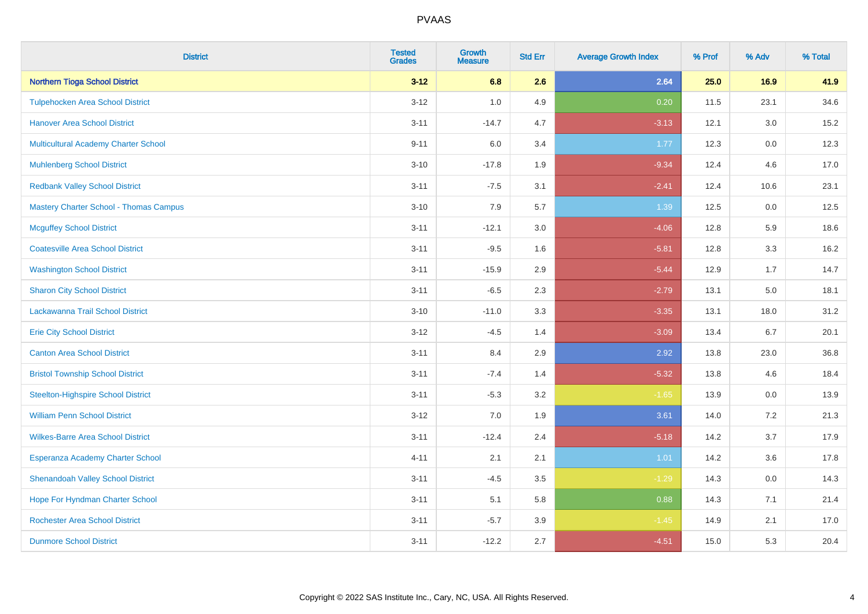| <b>District</b>                               | <b>Tested</b><br><b>Grades</b> | <b>Growth</b><br><b>Measure</b> | <b>Std Err</b> | <b>Average Growth Index</b> | % Prof | % Adv   | % Total |
|-----------------------------------------------|--------------------------------|---------------------------------|----------------|-----------------------------|--------|---------|---------|
| <b>Northern Tioga School District</b>         | $3 - 12$                       | 6.8                             | 2.6            | 2.64                        | 25.0   | 16.9    | 41.9    |
| <b>Tulpehocken Area School District</b>       | $3 - 12$                       | 1.0                             | 4.9            | 0.20                        | 11.5   | 23.1    | 34.6    |
| <b>Hanover Area School District</b>           | $3 - 11$                       | $-14.7$                         | 4.7            | $-3.13$                     | 12.1   | 3.0     | 15.2    |
| Multicultural Academy Charter School          | $9 - 11$                       | 6.0                             | 3.4            | 1.77                        | 12.3   | $0.0\,$ | 12.3    |
| <b>Muhlenberg School District</b>             | $3 - 10$                       | $-17.8$                         | 1.9            | $-9.34$                     | 12.4   | 4.6     | 17.0    |
| <b>Redbank Valley School District</b>         | $3 - 11$                       | $-7.5$                          | 3.1            | $-2.41$                     | 12.4   | 10.6    | 23.1    |
| <b>Mastery Charter School - Thomas Campus</b> | $3 - 10$                       | 7.9                             | 5.7            | 1.39                        | 12.5   | 0.0     | 12.5    |
| <b>Mcguffey School District</b>               | $3 - 11$                       | $-12.1$                         | 3.0            | $-4.06$                     | 12.8   | 5.9     | 18.6    |
| <b>Coatesville Area School District</b>       | $3 - 11$                       | $-9.5$                          | 1.6            | $-5.81$                     | 12.8   | 3.3     | 16.2    |
| <b>Washington School District</b>             | $3 - 11$                       | $-15.9$                         | 2.9            | $-5.44$                     | 12.9   | 1.7     | 14.7    |
| <b>Sharon City School District</b>            | $3 - 11$                       | $-6.5$                          | 2.3            | $-2.79$                     | 13.1   | 5.0     | 18.1    |
| Lackawanna Trail School District              | $3 - 10$                       | $-11.0$                         | 3.3            | $-3.35$                     | 13.1   | 18.0    | 31.2    |
| <b>Erie City School District</b>              | $3-12$                         | $-4.5$                          | 1.4            | $-3.09$                     | 13.4   | 6.7     | 20.1    |
| <b>Canton Area School District</b>            | $3 - 11$                       | 8.4                             | 2.9            | 2.92                        | 13.8   | 23.0    | 36.8    |
| <b>Bristol Township School District</b>       | $3 - 11$                       | $-7.4$                          | 1.4            | $-5.32$                     | 13.8   | 4.6     | 18.4    |
| <b>Steelton-Highspire School District</b>     | $3 - 11$                       | $-5.3$                          | 3.2            | $-1.65$                     | 13.9   | $0.0\,$ | 13.9    |
| <b>William Penn School District</b>           | $3 - 12$                       | 7.0                             | 1.9            | 3.61                        | 14.0   | 7.2     | 21.3    |
| <b>Wilkes-Barre Area School District</b>      | $3 - 11$                       | $-12.4$                         | 2.4            | $-5.18$                     | 14.2   | 3.7     | 17.9    |
| Esperanza Academy Charter School              | $4 - 11$                       | 2.1                             | 2.1            | 1.01                        | 14.2   | 3.6     | 17.8    |
| <b>Shenandoah Valley School District</b>      | $3 - 11$                       | $-4.5$                          | 3.5            | $-1.29$                     | 14.3   | 0.0     | 14.3    |
| Hope For Hyndman Charter School               | $3 - 11$                       | 5.1                             | 5.8            | 0.88                        | 14.3   | 7.1     | 21.4    |
| <b>Rochester Area School District</b>         | $3 - 11$                       | $-5.7$                          | 3.9            | $-1.45$                     | 14.9   | 2.1     | 17.0    |
| <b>Dunmore School District</b>                | $3 - 11$                       | $-12.2$                         | 2.7            | $-4.51$                     | 15.0   | 5.3     | 20.4    |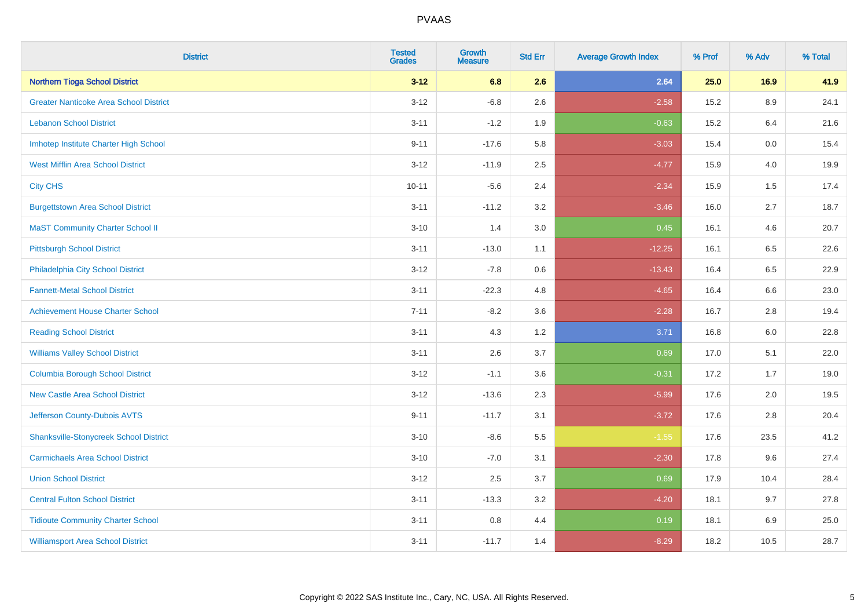| <b>District</b>                               | <b>Tested</b><br><b>Grades</b> | <b>Growth</b><br><b>Measure</b> | <b>Std Err</b> | <b>Average Growth Index</b> | % Prof | % Adv   | % Total |
|-----------------------------------------------|--------------------------------|---------------------------------|----------------|-----------------------------|--------|---------|---------|
| <b>Northern Tioga School District</b>         | $3 - 12$                       | 6.8                             | 2.6            | 2.64                        | 25.0   | 16.9    | 41.9    |
| <b>Greater Nanticoke Area School District</b> | $3 - 12$                       | $-6.8$                          | 2.6            | $-2.58$                     | 15.2   | $8.9\,$ | 24.1    |
| <b>Lebanon School District</b>                | $3 - 11$                       | $-1.2$                          | 1.9            | $-0.63$                     | 15.2   | 6.4     | 21.6    |
| Imhotep Institute Charter High School         | $9 - 11$                       | $-17.6$                         | 5.8            | $-3.03$                     | 15.4   | 0.0     | 15.4    |
| <b>West Mifflin Area School District</b>      | $3 - 12$                       | $-11.9$                         | 2.5            | $-4.77$                     | 15.9   | 4.0     | 19.9    |
| <b>City CHS</b>                               | $10 - 11$                      | $-5.6$                          | 2.4            | $-2.34$                     | 15.9   | 1.5     | 17.4    |
| <b>Burgettstown Area School District</b>      | $3 - 11$                       | $-11.2$                         | 3.2            | $-3.46$                     | 16.0   | 2.7     | 18.7    |
| <b>MaST Community Charter School II</b>       | $3 - 10$                       | 1.4                             | $3.0\,$        | 0.45                        | 16.1   | 4.6     | 20.7    |
| <b>Pittsburgh School District</b>             | $3 - 11$                       | $-13.0$                         | 1.1            | $-12.25$                    | 16.1   | 6.5     | 22.6    |
| Philadelphia City School District             | $3-12$                         | $-7.8$                          | 0.6            | $-13.43$                    | 16.4   | 6.5     | 22.9    |
| <b>Fannett-Metal School District</b>          | $3 - 11$                       | $-22.3$                         | 4.8            | $-4.65$                     | 16.4   | 6.6     | 23.0    |
| <b>Achievement House Charter School</b>       | $7 - 11$                       | $-8.2$                          | 3.6            | $-2.28$                     | 16.7   | 2.8     | 19.4    |
| <b>Reading School District</b>                | $3 - 11$                       | 4.3                             | 1.2            | 3.71                        | 16.8   | $6.0\,$ | 22.8    |
| <b>Williams Valley School District</b>        | $3 - 11$                       | 2.6                             | 3.7            | 0.69                        | 17.0   | 5.1     | 22.0    |
| <b>Columbia Borough School District</b>       | $3 - 12$                       | $-1.1$                          | 3.6            | $-0.31$                     | 17.2   | 1.7     | 19.0    |
| <b>New Castle Area School District</b>        | $3 - 12$                       | $-13.6$                         | 2.3            | $-5.99$                     | 17.6   | 2.0     | 19.5    |
| Jefferson County-Dubois AVTS                  | $9 - 11$                       | $-11.7$                         | 3.1            | $-3.72$                     | 17.6   | 2.8     | 20.4    |
| <b>Shanksville-Stonycreek School District</b> | $3 - 10$                       | $-8.6$                          | 5.5            | $-1.55$                     | 17.6   | 23.5    | 41.2    |
| <b>Carmichaels Area School District</b>       | $3 - 10$                       | $-7.0$                          | 3.1            | $-2.30$                     | 17.8   | 9.6     | 27.4    |
| <b>Union School District</b>                  | $3 - 12$                       | 2.5                             | 3.7            | 0.69                        | 17.9   | 10.4    | 28.4    |
| <b>Central Fulton School District</b>         | $3 - 11$                       | $-13.3$                         | 3.2            | $-4.20$                     | 18.1   | 9.7     | 27.8    |
| <b>Tidioute Community Charter School</b>      | $3 - 11$                       | 0.8                             | 4.4            | 0.19                        | 18.1   | 6.9     | 25.0    |
| <b>Williamsport Area School District</b>      | $3 - 11$                       | $-11.7$                         | 1.4            | $-8.29$                     | 18.2   | 10.5    | 28.7    |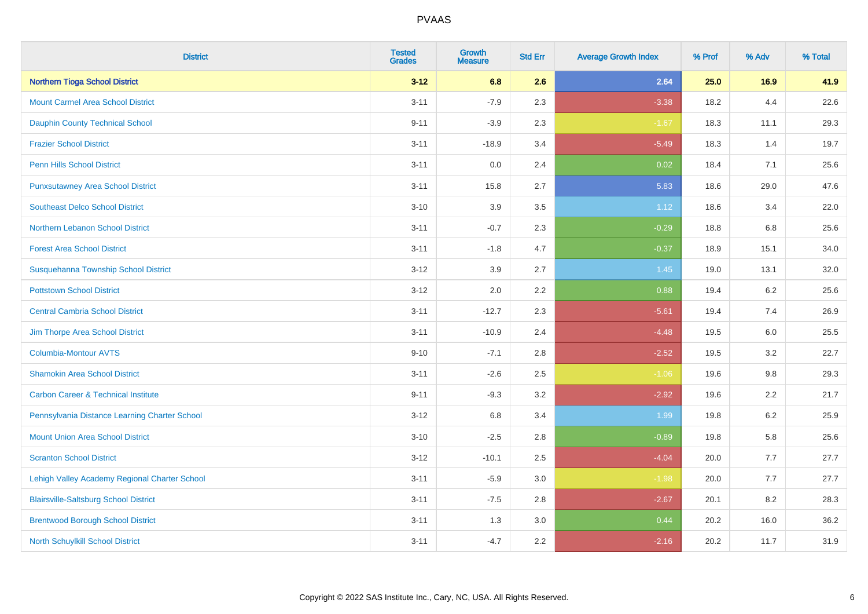| <b>District</b>                                | <b>Tested</b><br><b>Grades</b> | <b>Growth</b><br><b>Measure</b> | <b>Std Err</b> | <b>Average Growth Index</b> | % Prof | % Adv | % Total |
|------------------------------------------------|--------------------------------|---------------------------------|----------------|-----------------------------|--------|-------|---------|
| <b>Northern Tioga School District</b>          | $3 - 12$                       | 6.8                             | 2.6            | 2.64                        | 25.0   | 16.9  | 41.9    |
| <b>Mount Carmel Area School District</b>       | $3 - 11$                       | $-7.9$                          | 2.3            | $-3.38$                     | 18.2   | 4.4   | 22.6    |
| <b>Dauphin County Technical School</b>         | $9 - 11$                       | $-3.9$                          | 2.3            | $-1.67$                     | 18.3   | 11.1  | 29.3    |
| <b>Frazier School District</b>                 | $3 - 11$                       | $-18.9$                         | 3.4            | $-5.49$                     | 18.3   | 1.4   | 19.7    |
| <b>Penn Hills School District</b>              | $3 - 11$                       | 0.0                             | 2.4            | 0.02                        | 18.4   | 7.1   | 25.6    |
| <b>Punxsutawney Area School District</b>       | $3 - 11$                       | 15.8                            | 2.7            | 5.83                        | 18.6   | 29.0  | 47.6    |
| <b>Southeast Delco School District</b>         | $3 - 10$                       | 3.9                             | 3.5            | 1.12                        | 18.6   | 3.4   | 22.0    |
| Northern Lebanon School District               | $3 - 11$                       | $-0.7$                          | 2.3            | $-0.29$                     | 18.8   | 6.8   | 25.6    |
| <b>Forest Area School District</b>             | $3 - 11$                       | $-1.8$                          | 4.7            | $-0.37$                     | 18.9   | 15.1  | 34.0    |
| Susquehanna Township School District           | $3 - 12$                       | $3.9\,$                         | 2.7            | 1.45                        | 19.0   | 13.1  | 32.0    |
| <b>Pottstown School District</b>               | $3 - 12$                       | 2.0                             | 2.2            | 0.88                        | 19.4   | 6.2   | 25.6    |
| <b>Central Cambria School District</b>         | $3 - 11$                       | $-12.7$                         | 2.3            | $-5.61$                     | 19.4   | 7.4   | 26.9    |
| Jim Thorpe Area School District                | $3 - 11$                       | $-10.9$                         | 2.4            | $-4.48$                     | 19.5   | 6.0   | 25.5    |
| <b>Columbia-Montour AVTS</b>                   | $9 - 10$                       | $-7.1$                          | 2.8            | $-2.52$                     | 19.5   | 3.2   | 22.7    |
| <b>Shamokin Area School District</b>           | $3 - 11$                       | $-2.6$                          | 2.5            | $-1.06$                     | 19.6   | 9.8   | 29.3    |
| <b>Carbon Career &amp; Technical Institute</b> | $9 - 11$                       | $-9.3$                          | 3.2            | $-2.92$                     | 19.6   | 2.2   | 21.7    |
| Pennsylvania Distance Learning Charter School  | $3 - 12$                       | 6.8                             | 3.4            | 1.99                        | 19.8   | 6.2   | 25.9    |
| <b>Mount Union Area School District</b>        | $3 - 10$                       | $-2.5$                          | 2.8            | $-0.89$                     | 19.8   | 5.8   | 25.6    |
| <b>Scranton School District</b>                | $3 - 12$                       | $-10.1$                         | 2.5            | $-4.04$                     | 20.0   | 7.7   | 27.7    |
| Lehigh Valley Academy Regional Charter School  | $3 - 11$                       | $-5.9$                          | 3.0            | $-1.98$                     | 20.0   | 7.7   | 27.7    |
| <b>Blairsville-Saltsburg School District</b>   | $3 - 11$                       | $-7.5$                          | 2.8            | $-2.67$                     | 20.1   | 8.2   | 28.3    |
| <b>Brentwood Borough School District</b>       | $3 - 11$                       | 1.3                             | 3.0            | 0.44                        | 20.2   | 16.0  | 36.2    |
| North Schuylkill School District               | $3 - 11$                       | $-4.7$                          | 2.2            | $-2.16$                     | 20.2   | 11.7  | 31.9    |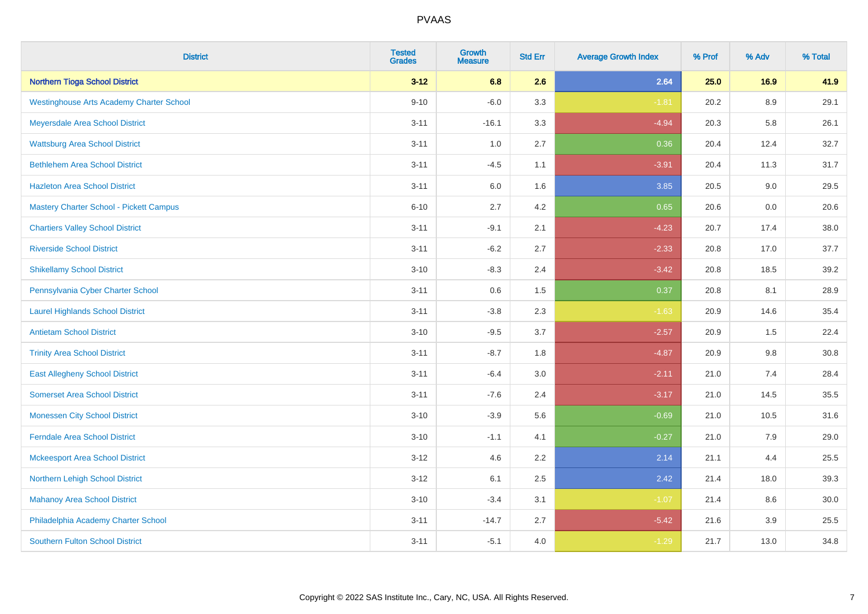| <b>District</b>                                 | <b>Tested</b><br><b>Grades</b> | <b>Growth</b><br><b>Measure</b> | <b>Std Err</b> | <b>Average Growth Index</b> | % Prof | % Adv   | % Total |
|-------------------------------------------------|--------------------------------|---------------------------------|----------------|-----------------------------|--------|---------|---------|
| <b>Northern Tioga School District</b>           | $3 - 12$                       | 6.8                             | 2.6            | 2.64                        | 25.0   | 16.9    | 41.9    |
| <b>Westinghouse Arts Academy Charter School</b> | $9 - 10$                       | $-6.0$                          | 3.3            | $-1.81$                     | 20.2   | 8.9     | 29.1    |
| Meyersdale Area School District                 | $3 - 11$                       | $-16.1$                         | 3.3            | $-4.94$                     | 20.3   | 5.8     | 26.1    |
| <b>Wattsburg Area School District</b>           | $3 - 11$                       | 1.0                             | 2.7            | 0.36                        | 20.4   | 12.4    | 32.7    |
| <b>Bethlehem Area School District</b>           | $3 - 11$                       | $-4.5$                          | 1.1            | $-3.91$                     | 20.4   | 11.3    | 31.7    |
| <b>Hazleton Area School District</b>            | $3 - 11$                       | 6.0                             | 1.6            | 3.85                        | 20.5   | 9.0     | 29.5    |
| <b>Mastery Charter School - Pickett Campus</b>  | $6 - 10$                       | 2.7                             | 4.2            | 0.65                        | 20.6   | 0.0     | 20.6    |
| <b>Chartiers Valley School District</b>         | $3 - 11$                       | $-9.1$                          | 2.1            | $-4.23$                     | 20.7   | 17.4    | 38.0    |
| <b>Riverside School District</b>                | $3 - 11$                       | $-6.2$                          | 2.7            | $-2.33$                     | 20.8   | 17.0    | 37.7    |
| <b>Shikellamy School District</b>               | $3 - 10$                       | $-8.3$                          | 2.4            | $-3.42$                     | 20.8   | 18.5    | 39.2    |
| Pennsylvania Cyber Charter School               | $3 - 11$                       | 0.6                             | 1.5            | 0.37                        | 20.8   | 8.1     | 28.9    |
| <b>Laurel Highlands School District</b>         | $3 - 11$                       | $-3.8$                          | 2.3            | $-1.63$                     | 20.9   | 14.6    | 35.4    |
| <b>Antietam School District</b>                 | $3 - 10$                       | $-9.5$                          | 3.7            | $-2.57$                     | 20.9   | 1.5     | 22.4    |
| <b>Trinity Area School District</b>             | $3 - 11$                       | $-8.7$                          | 1.8            | $-4.87$                     | 20.9   | $9.8\,$ | 30.8    |
| <b>East Allegheny School District</b>           | $3 - 11$                       | $-6.4$                          | 3.0            | $-2.11$                     | 21.0   | 7.4     | 28.4    |
| <b>Somerset Area School District</b>            | $3 - 11$                       | $-7.6$                          | 2.4            | $-3.17$                     | 21.0   | 14.5    | 35.5    |
| <b>Monessen City School District</b>            | $3 - 10$                       | $-3.9$                          | 5.6            | $-0.69$                     | 21.0   | 10.5    | 31.6    |
| <b>Ferndale Area School District</b>            | $3 - 10$                       | $-1.1$                          | 4.1            | $-0.27$                     | 21.0   | 7.9     | 29.0    |
| <b>Mckeesport Area School District</b>          | $3 - 12$                       | 4.6                             | 2.2            | 2.14                        | 21.1   | 4.4     | 25.5    |
| Northern Lehigh School District                 | $3 - 12$                       | 6.1                             | 2.5            | 2.42                        | 21.4   | 18.0    | 39.3    |
| <b>Mahanoy Area School District</b>             | $3 - 10$                       | $-3.4$                          | 3.1            | $-1.07$                     | 21.4   | 8.6     | 30.0    |
| Philadelphia Academy Charter School             | $3 - 11$                       | $-14.7$                         | 2.7            | $-5.42$                     | 21.6   | 3.9     | 25.5    |
| <b>Southern Fulton School District</b>          | $3 - 11$                       | $-5.1$                          | 4.0            | $-1.29$                     | 21.7   | 13.0    | 34.8    |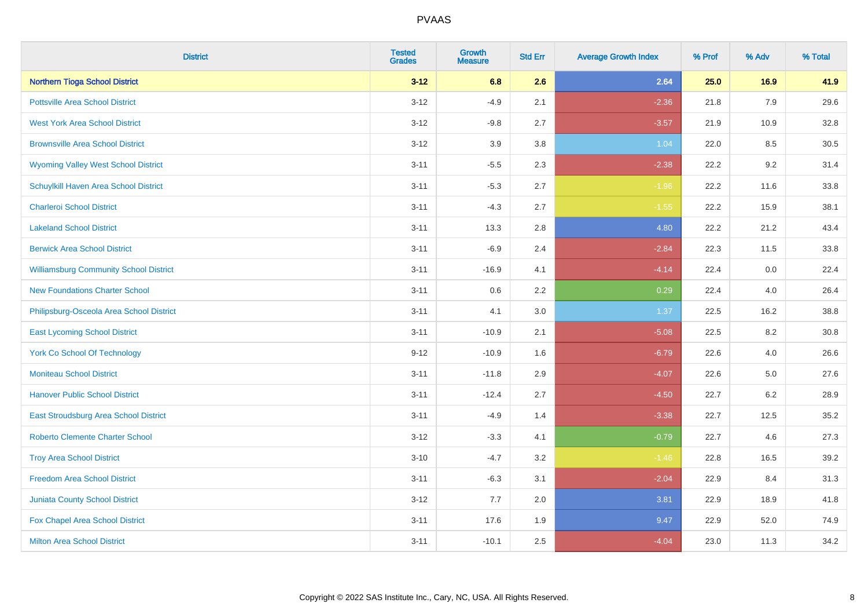| <b>District</b>                               | <b>Tested</b><br><b>Grades</b> | <b>Growth</b><br><b>Measure</b> | <b>Std Err</b> | <b>Average Growth Index</b> | % Prof | % Adv   | % Total |
|-----------------------------------------------|--------------------------------|---------------------------------|----------------|-----------------------------|--------|---------|---------|
| <b>Northern Tioga School District</b>         | $3 - 12$                       | 6.8                             | 2.6            | 2.64                        | 25.0   | 16.9    | 41.9    |
| <b>Pottsville Area School District</b>        | $3 - 12$                       | $-4.9$                          | 2.1            | $-2.36$                     | 21.8   | 7.9     | 29.6    |
| <b>West York Area School District</b>         | $3 - 12$                       | $-9.8$                          | 2.7            | $-3.57$                     | 21.9   | 10.9    | 32.8    |
| <b>Brownsville Area School District</b>       | $3 - 12$                       | 3.9                             | 3.8            | 1.04                        | 22.0   | 8.5     | 30.5    |
| <b>Wyoming Valley West School District</b>    | $3 - 11$                       | $-5.5$                          | 2.3            | $-2.38$                     | 22.2   | 9.2     | 31.4    |
| Schuylkill Haven Area School District         | $3 - 11$                       | $-5.3$                          | 2.7            | $-1.96$                     | 22.2   | 11.6    | 33.8    |
| <b>Charleroi School District</b>              | $3 - 11$                       | $-4.3$                          | 2.7            | $-1.55$                     | 22.2   | 15.9    | 38.1    |
| <b>Lakeland School District</b>               | $3 - 11$                       | 13.3                            | 2.8            | 4.80                        | 22.2   | 21.2    | 43.4    |
| <b>Berwick Area School District</b>           | $3 - 11$                       | $-6.9$                          | 2.4            | $-2.84$                     | 22.3   | 11.5    | 33.8    |
| <b>Williamsburg Community School District</b> | $3 - 11$                       | $-16.9$                         | 4.1            | $-4.14$                     | 22.4   | 0.0     | 22.4    |
| <b>New Foundations Charter School</b>         | $3 - 11$                       | 0.6                             | 2.2            | 0.29                        | 22.4   | 4.0     | 26.4    |
| Philipsburg-Osceola Area School District      | $3 - 11$                       | 4.1                             | 3.0            | 1.37                        | 22.5   | 16.2    | 38.8    |
| <b>East Lycoming School District</b>          | $3 - 11$                       | $-10.9$                         | 2.1            | $-5.08$                     | 22.5   | 8.2     | 30.8    |
| <b>York Co School Of Technology</b>           | $9 - 12$                       | $-10.9$                         | 1.6            | $-6.79$                     | 22.6   | 4.0     | 26.6    |
| <b>Moniteau School District</b>               | $3 - 11$                       | $-11.8$                         | 2.9            | $-4.07$                     | 22.6   | $5.0\,$ | 27.6    |
| <b>Hanover Public School District</b>         | $3 - 11$                       | $-12.4$                         | 2.7            | $-4.50$                     | 22.7   | 6.2     | 28.9    |
| East Stroudsburg Area School District         | $3 - 11$                       | $-4.9$                          | 1.4            | $-3.38$                     | 22.7   | 12.5    | 35.2    |
| <b>Roberto Clemente Charter School</b>        | $3 - 12$                       | $-3.3$                          | 4.1            | $-0.79$                     | 22.7   | 4.6     | 27.3    |
| <b>Troy Area School District</b>              | $3 - 10$                       | $-4.7$                          | 3.2            | $-1.46$                     | 22.8   | 16.5    | 39.2    |
| <b>Freedom Area School District</b>           | $3 - 11$                       | $-6.3$                          | 3.1            | $-2.04$                     | 22.9   | 8.4     | 31.3    |
| <b>Juniata County School District</b>         | $3 - 12$                       | 7.7                             | 2.0            | 3.81                        | 22.9   | 18.9    | 41.8    |
| Fox Chapel Area School District               | $3 - 11$                       | 17.6                            | 1.9            | 9.47                        | 22.9   | 52.0    | 74.9    |
| <b>Milton Area School District</b>            | $3 - 11$                       | $-10.1$                         | 2.5            | $-4.04$                     | 23.0   | 11.3    | 34.2    |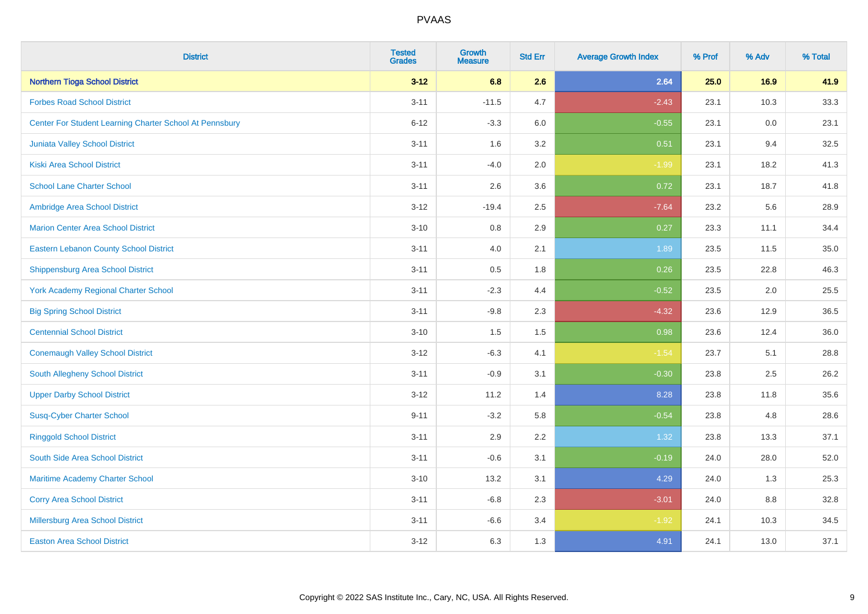| <b>District</b>                                         | <b>Tested</b><br><b>Grades</b> | <b>Growth</b><br><b>Measure</b> | <b>Std Err</b> | <b>Average Growth Index</b> | % Prof | % Adv | % Total |
|---------------------------------------------------------|--------------------------------|---------------------------------|----------------|-----------------------------|--------|-------|---------|
| <b>Northern Tioga School District</b>                   | $3 - 12$                       | 6.8                             | 2.6            | 2.64                        | 25.0   | 16.9  | 41.9    |
| <b>Forbes Road School District</b>                      | $3 - 11$                       | $-11.5$                         | 4.7            | $-2.43$                     | 23.1   | 10.3  | 33.3    |
| Center For Student Learning Charter School At Pennsbury | $6 - 12$                       | $-3.3$                          | 6.0            | $-0.55$                     | 23.1   | 0.0   | 23.1    |
| Juniata Valley School District                          | $3 - 11$                       | 1.6                             | 3.2            | 0.51                        | 23.1   | 9.4   | 32.5    |
| <b>Kiski Area School District</b>                       | $3 - 11$                       | $-4.0$                          | 2.0            | $-1.99$                     | 23.1   | 18.2  | 41.3    |
| <b>School Lane Charter School</b>                       | $3 - 11$                       | 2.6                             | 3.6            | 0.72                        | 23.1   | 18.7  | 41.8    |
| Ambridge Area School District                           | $3 - 12$                       | $-19.4$                         | 2.5            | $-7.64$                     | 23.2   | 5.6   | 28.9    |
| <b>Marion Center Area School District</b>               | $3 - 10$                       | 0.8                             | 2.9            | 0.27                        | 23.3   | 11.1  | 34.4    |
| <b>Eastern Lebanon County School District</b>           | $3 - 11$                       | 4.0                             | 2.1            | 1.89                        | 23.5   | 11.5  | 35.0    |
| <b>Shippensburg Area School District</b>                | $3 - 11$                       | 0.5                             | 1.8            | 0.26                        | 23.5   | 22.8  | 46.3    |
| <b>York Academy Regional Charter School</b>             | $3 - 11$                       | $-2.3$                          | 4.4            | $-0.52$                     | 23.5   | 2.0   | 25.5    |
| <b>Big Spring School District</b>                       | $3 - 11$                       | $-9.8$                          | 2.3            | $-4.32$                     | 23.6   | 12.9  | 36.5    |
| <b>Centennial School District</b>                       | $3 - 10$                       | 1.5                             | $1.5\,$        | 0.98                        | 23.6   | 12.4  | 36.0    |
| <b>Conemaugh Valley School District</b>                 | $3 - 12$                       | $-6.3$                          | 4.1            | $-1.54$                     | 23.7   | 5.1   | 28.8    |
| South Allegheny School District                         | $3 - 11$                       | $-0.9$                          | 3.1            | $-0.30$                     | 23.8   | 2.5   | 26.2    |
| <b>Upper Darby School District</b>                      | $3 - 12$                       | 11.2                            | 1.4            | 8.28                        | 23.8   | 11.8  | 35.6    |
| <b>Susq-Cyber Charter School</b>                        | $9 - 11$                       | $-3.2$                          | 5.8            | $-0.54$                     | 23.8   | 4.8   | 28.6    |
| <b>Ringgold School District</b>                         | $3 - 11$                       | 2.9                             | 2.2            | 1.32                        | 23.8   | 13.3  | 37.1    |
| South Side Area School District                         | $3 - 11$                       | $-0.6$                          | 3.1            | $-0.19$                     | 24.0   | 28.0  | 52.0    |
| Maritime Academy Charter School                         | $3 - 10$                       | 13.2                            | 3.1            | 4.29                        | 24.0   | 1.3   | 25.3    |
| <b>Corry Area School District</b>                       | $3 - 11$                       | $-6.8$                          | 2.3            | $-3.01$                     | 24.0   | 8.8   | 32.8    |
| <b>Millersburg Area School District</b>                 | $3 - 11$                       | $-6.6$                          | 3.4            | $-1.92$                     | 24.1   | 10.3  | 34.5    |
| <b>Easton Area School District</b>                      | $3 - 12$                       | 6.3                             | 1.3            | 4.91                        | 24.1   | 13.0  | 37.1    |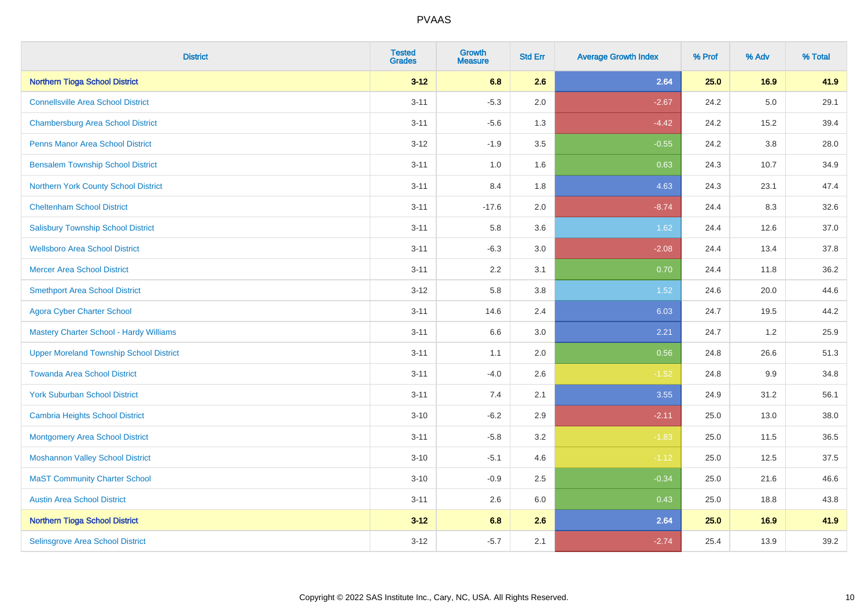| <b>District</b>                                | <b>Tested</b><br><b>Grades</b> | <b>Growth</b><br><b>Measure</b> | <b>Std Err</b> | <b>Average Growth Index</b> | % Prof | % Adv   | % Total |
|------------------------------------------------|--------------------------------|---------------------------------|----------------|-----------------------------|--------|---------|---------|
| <b>Northern Tioga School District</b>          | $3 - 12$                       | 6.8                             | 2.6            | 2.64                        | 25.0   | 16.9    | 41.9    |
| <b>Connellsville Area School District</b>      | $3 - 11$                       | $-5.3$                          | 2.0            | $-2.67$                     | 24.2   | $5.0\,$ | 29.1    |
| <b>Chambersburg Area School District</b>       | $3 - 11$                       | $-5.6$                          | 1.3            | $-4.42$                     | 24.2   | 15.2    | 39.4    |
| <b>Penns Manor Area School District</b>        | $3 - 12$                       | $-1.9$                          | 3.5            | $-0.55$                     | 24.2   | 3.8     | 28.0    |
| <b>Bensalem Township School District</b>       | $3 - 11$                       | 1.0                             | 1.6            | 0.63                        | 24.3   | 10.7    | 34.9    |
| Northern York County School District           | $3 - 11$                       | 8.4                             | 1.8            | 4.63                        | 24.3   | 23.1    | 47.4    |
| <b>Cheltenham School District</b>              | $3 - 11$                       | $-17.6$                         | 2.0            | $-8.74$                     | 24.4   | 8.3     | 32.6    |
| <b>Salisbury Township School District</b>      | $3 - 11$                       | 5.8                             | 3.6            | 1.62                        | 24.4   | 12.6    | 37.0    |
| <b>Wellsboro Area School District</b>          | $3 - 11$                       | $-6.3$                          | 3.0            | $-2.08$                     | 24.4   | 13.4    | 37.8    |
| <b>Mercer Area School District</b>             | $3 - 11$                       | 2.2                             | 3.1            | 0.70                        | 24.4   | 11.8    | 36.2    |
| <b>Smethport Area School District</b>          | $3 - 12$                       | 5.8                             | 3.8            | 1.52                        | 24.6   | 20.0    | 44.6    |
| <b>Agora Cyber Charter School</b>              | $3 - 11$                       | 14.6                            | 2.4            | 6.03                        | 24.7   | 19.5    | 44.2    |
| <b>Mastery Charter School - Hardy Williams</b> | $3 - 11$                       | 6.6                             | 3.0            | 2.21                        | 24.7   | 1.2     | 25.9    |
| <b>Upper Moreland Township School District</b> | $3 - 11$                       | 1.1                             | 2.0            | 0.56                        | 24.8   | 26.6    | 51.3    |
| <b>Towanda Area School District</b>            | $3 - 11$                       | $-4.0$                          | 2.6            | $-1.52$                     | 24.8   | 9.9     | 34.8    |
| <b>York Suburban School District</b>           | $3 - 11$                       | $7.4$                           | 2.1            | 3.55                        | 24.9   | 31.2    | 56.1    |
| <b>Cambria Heights School District</b>         | $3 - 10$                       | $-6.2$                          | 2.9            | $-2.11$                     | 25.0   | 13.0    | 38.0    |
| <b>Montgomery Area School District</b>         | $3 - 11$                       | $-5.8$                          | 3.2            | $-1.83$                     | 25.0   | 11.5    | 36.5    |
| <b>Moshannon Valley School District</b>        | $3 - 10$                       | $-5.1$                          | 4.6            | $-1.12$                     | 25.0   | 12.5    | 37.5    |
| <b>MaST Community Charter School</b>           | $3 - 10$                       | $-0.9$                          | 2.5            | $-0.34$                     | 25.0   | 21.6    | 46.6    |
| <b>Austin Area School District</b>             | $3 - 11$                       | $2.6\,$                         | 6.0            | 0.43                        | 25.0   | 18.8    | 43.8    |
| <b>Northern Tioga School District</b>          | $3 - 12$                       | 6.8                             | 2.6            | 2.64                        | 25.0   | 16.9    | 41.9    |
| Selinsgrove Area School District               | $3 - 12$                       | $-5.7$                          | 2.1            | $-2.74$                     | 25.4   | 13.9    | 39.2    |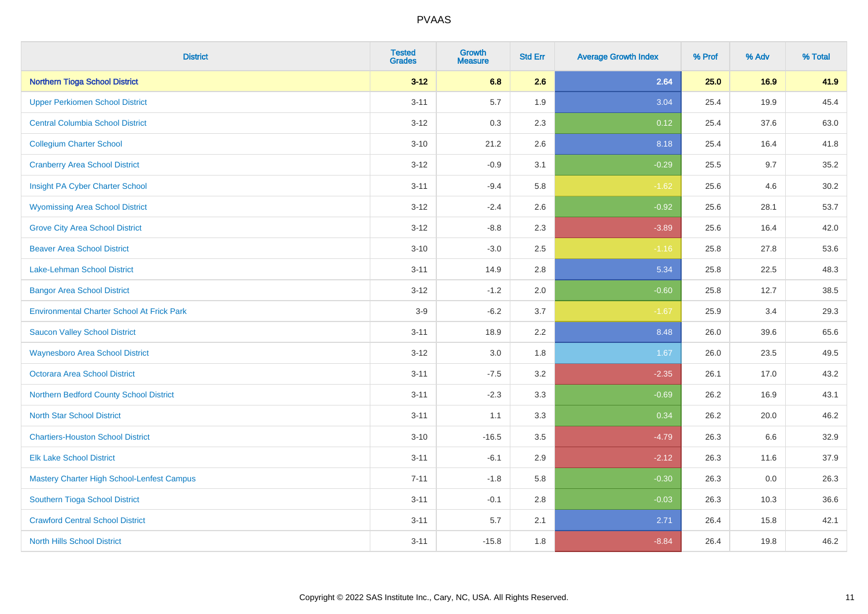| <b>District</b>                                   | <b>Tested</b><br><b>Grades</b> | <b>Growth</b><br><b>Measure</b> | <b>Std Err</b> | <b>Average Growth Index</b> | % Prof | % Adv | % Total |
|---------------------------------------------------|--------------------------------|---------------------------------|----------------|-----------------------------|--------|-------|---------|
| <b>Northern Tioga School District</b>             | $3 - 12$                       | 6.8                             | 2.6            | 2.64                        | 25.0   | 16.9  | 41.9    |
| <b>Upper Perkiomen School District</b>            | $3 - 11$                       | 5.7                             | 1.9            | 3.04                        | 25.4   | 19.9  | 45.4    |
| <b>Central Columbia School District</b>           | $3 - 12$                       | 0.3                             | 2.3            | 0.12                        | 25.4   | 37.6  | 63.0    |
| <b>Collegium Charter School</b>                   | $3 - 10$                       | 21.2                            | 2.6            | 8.18                        | 25.4   | 16.4  | 41.8    |
| <b>Cranberry Area School District</b>             | $3-12$                         | $-0.9$                          | 3.1            | $-0.29$                     | 25.5   | 9.7   | 35.2    |
| Insight PA Cyber Charter School                   | $3 - 11$                       | $-9.4$                          | 5.8            | $-1.62$                     | 25.6   | 4.6   | 30.2    |
| <b>Wyomissing Area School District</b>            | $3 - 12$                       | $-2.4$                          | 2.6            | $-0.92$                     | 25.6   | 28.1  | 53.7    |
| <b>Grove City Area School District</b>            | $3-12$                         | $-8.8$                          | 2.3            | $-3.89$                     | 25.6   | 16.4  | 42.0    |
| <b>Beaver Area School District</b>                | $3 - 10$                       | $-3.0$                          | 2.5            | $-1.16$                     | 25.8   | 27.8  | 53.6    |
| Lake-Lehman School District                       | $3 - 11$                       | 14.9                            | 2.8            | 5.34                        | 25.8   | 22.5  | 48.3    |
| <b>Bangor Area School District</b>                | $3 - 12$                       | $-1.2$                          | 2.0            | $-0.60$                     | 25.8   | 12.7  | 38.5    |
| <b>Environmental Charter School At Frick Park</b> | $3-9$                          | $-6.2$                          | 3.7            | $-1.67$                     | 25.9   | 3.4   | 29.3    |
| <b>Saucon Valley School District</b>              | $3 - 11$                       | 18.9                            | 2.2            | 8.48                        | 26.0   | 39.6  | 65.6    |
| <b>Waynesboro Area School District</b>            | $3 - 12$                       | 3.0                             | 1.8            | 1.67                        | 26.0   | 23.5  | 49.5    |
| <b>Octorara Area School District</b>              | $3 - 11$                       | $-7.5$                          | 3.2            | $-2.35$                     | 26.1   | 17.0  | 43.2    |
| Northern Bedford County School District           | $3 - 11$                       | $-2.3$                          | 3.3            | $-0.69$                     | 26.2   | 16.9  | 43.1    |
| <b>North Star School District</b>                 | $3 - 11$                       | 1.1                             | 3.3            | 0.34                        | 26.2   | 20.0  | 46.2    |
| <b>Chartiers-Houston School District</b>          | $3 - 10$                       | $-16.5$                         | 3.5            | $-4.79$                     | 26.3   | 6.6   | 32.9    |
| <b>Elk Lake School District</b>                   | $3 - 11$                       | $-6.1$                          | 2.9            | $-2.12$                     | 26.3   | 11.6  | 37.9    |
| Mastery Charter High School-Lenfest Campus        | $7 - 11$                       | $-1.8$                          | 5.8            | $-0.30$                     | 26.3   | 0.0   | 26.3    |
| Southern Tioga School District                    | $3 - 11$                       | $-0.1$                          | 2.8            | $-0.03$                     | 26.3   | 10.3  | 36.6    |
| <b>Crawford Central School District</b>           | $3 - 11$                       | 5.7                             | 2.1            | 2.71                        | 26.4   | 15.8  | 42.1    |
| <b>North Hills School District</b>                | $3 - 11$                       | $-15.8$                         | 1.8            | $-8.84$                     | 26.4   | 19.8  | 46.2    |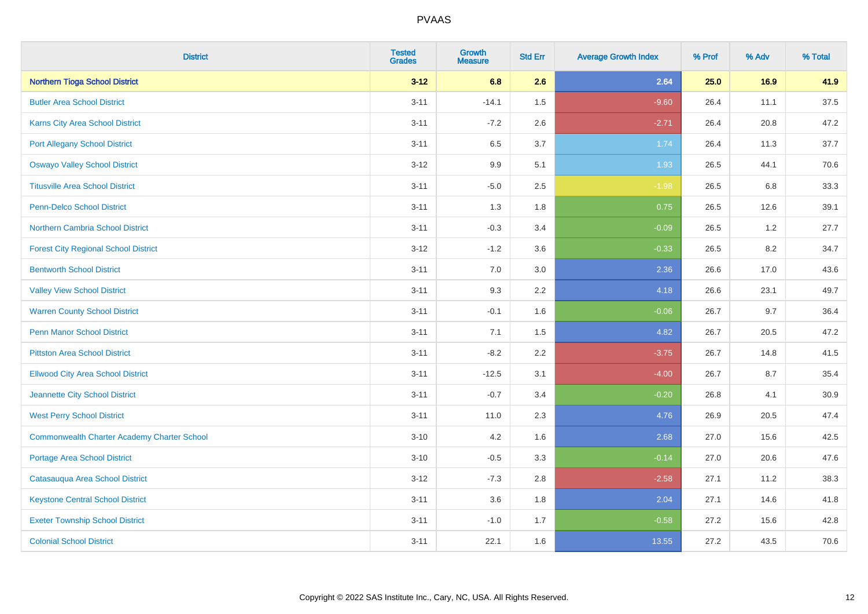| <b>District</b>                                    | <b>Tested</b><br><b>Grades</b> | <b>Growth</b><br><b>Measure</b> | <b>Std Err</b> | <b>Average Growth Index</b> | % Prof | % Adv   | % Total |
|----------------------------------------------------|--------------------------------|---------------------------------|----------------|-----------------------------|--------|---------|---------|
| <b>Northern Tioga School District</b>              | $3 - 12$                       | 6.8                             | 2.6            | 2.64                        | 25.0   | 16.9    | 41.9    |
| <b>Butler Area School District</b>                 | $3 - 11$                       | $-14.1$                         | 1.5            | $-9.60$                     | 26.4   | 11.1    | 37.5    |
| Karns City Area School District                    | $3 - 11$                       | $-7.2$                          | 2.6            | $-2.71$                     | 26.4   | 20.8    | 47.2    |
| <b>Port Allegany School District</b>               | $3 - 11$                       | 6.5                             | 3.7            | 1.74                        | 26.4   | 11.3    | 37.7    |
| <b>Oswayo Valley School District</b>               | $3-12$                         | 9.9                             | 5.1            | 1.93                        | 26.5   | 44.1    | 70.6    |
| <b>Titusville Area School District</b>             | $3 - 11$                       | $-5.0$                          | 2.5            | $-1.98$                     | 26.5   | $6.8\,$ | 33.3    |
| Penn-Delco School District                         | $3 - 11$                       | 1.3                             | 1.8            | 0.75                        | 26.5   | 12.6    | 39.1    |
| Northern Cambria School District                   | $3 - 11$                       | $-0.3$                          | 3.4            | $-0.09$                     | 26.5   | 1.2     | 27.7    |
| <b>Forest City Regional School District</b>        | $3 - 12$                       | $-1.2$                          | 3.6            | $-0.33$                     | 26.5   | 8.2     | 34.7    |
| <b>Bentworth School District</b>                   | $3 - 11$                       | 7.0                             | 3.0            | 2.36                        | 26.6   | 17.0    | 43.6    |
| <b>Valley View School District</b>                 | $3 - 11$                       | 9.3                             | 2.2            | 4.18                        | 26.6   | 23.1    | 49.7    |
| <b>Warren County School District</b>               | $3 - 11$                       | $-0.1$                          | 1.6            | $-0.06$                     | 26.7   | 9.7     | 36.4    |
| <b>Penn Manor School District</b>                  | $3 - 11$                       | 7.1                             | 1.5            | 4.82                        | 26.7   | 20.5    | 47.2    |
| <b>Pittston Area School District</b>               | $3 - 11$                       | $-8.2$                          | 2.2            | $-3.75$                     | 26.7   | 14.8    | 41.5    |
| <b>Ellwood City Area School District</b>           | $3 - 11$                       | $-12.5$                         | 3.1            | $-4.00$                     | 26.7   | 8.7     | 35.4    |
| Jeannette City School District                     | $3 - 11$                       | $-0.7$                          | 3.4            | $-0.20$                     | 26.8   | 4.1     | 30.9    |
| <b>West Perry School District</b>                  | $3 - 11$                       | 11.0                            | 2.3            | 4.76                        | 26.9   | 20.5    | 47.4    |
| <b>Commonwealth Charter Academy Charter School</b> | $3 - 10$                       | 4.2                             | 1.6            | 2.68                        | 27.0   | 15.6    | 42.5    |
| <b>Portage Area School District</b>                | $3 - 10$                       | $-0.5$                          | 3.3            | $-0.14$                     | 27.0   | 20.6    | 47.6    |
| Catasauqua Area School District                    | $3 - 12$                       | $-7.3$                          | 2.8            | $-2.58$                     | 27.1   | 11.2    | 38.3    |
| <b>Keystone Central School District</b>            | $3 - 11$                       | 3.6                             | 1.8            | 2.04                        | 27.1   | 14.6    | 41.8    |
| <b>Exeter Township School District</b>             | $3 - 11$                       | $-1.0$                          | 1.7            | $-0.58$                     | 27.2   | 15.6    | 42.8    |
| <b>Colonial School District</b>                    | $3 - 11$                       | 22.1                            | 1.6            | 13.55                       | 27.2   | 43.5    | 70.6    |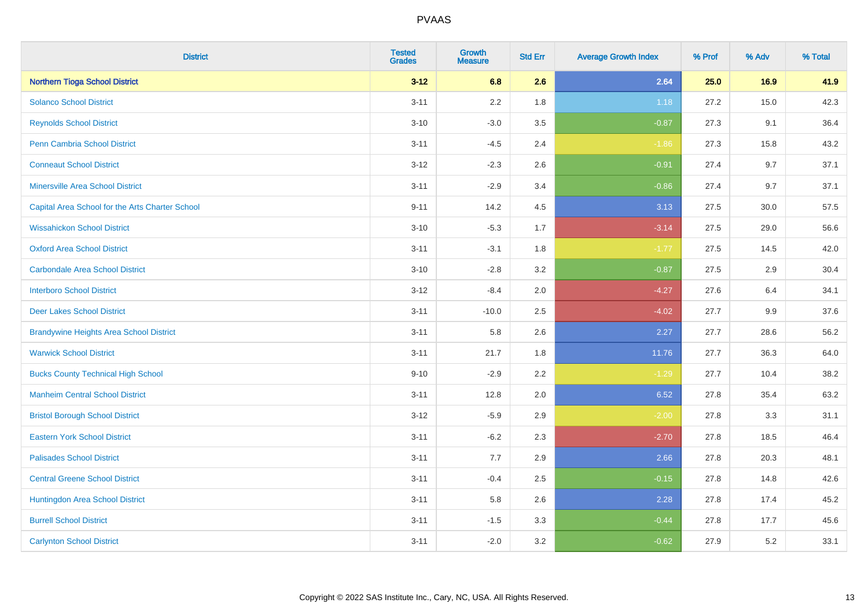| <b>District</b>                                 | <b>Tested</b><br><b>Grades</b> | <b>Growth</b><br><b>Measure</b> | <b>Std Err</b> | <b>Average Growth Index</b> | % Prof | % Adv | % Total |
|-------------------------------------------------|--------------------------------|---------------------------------|----------------|-----------------------------|--------|-------|---------|
| <b>Northern Tioga School District</b>           | $3 - 12$                       | 6.8                             | 2.6            | 2.64                        | 25.0   | 16.9  | 41.9    |
| <b>Solanco School District</b>                  | $3 - 11$                       | $2.2\,$                         | 1.8            | 1.18                        | 27.2   | 15.0  | 42.3    |
| <b>Reynolds School District</b>                 | $3 - 10$                       | $-3.0$                          | 3.5            | $-0.87$                     | 27.3   | 9.1   | 36.4    |
| Penn Cambria School District                    | $3 - 11$                       | $-4.5$                          | 2.4            | $-1.86$                     | 27.3   | 15.8  | 43.2    |
| <b>Conneaut School District</b>                 | $3-12$                         | $-2.3$                          | 2.6            | $-0.91$                     | 27.4   | 9.7   | 37.1    |
| <b>Minersville Area School District</b>         | $3 - 11$                       | $-2.9$                          | 3.4            | $-0.86$                     | 27.4   | 9.7   | 37.1    |
| Capital Area School for the Arts Charter School | $9 - 11$                       | 14.2                            | 4.5            | 3.13                        | 27.5   | 30.0  | 57.5    |
| <b>Wissahickon School District</b>              | $3 - 10$                       | $-5.3$                          | 1.7            | $-3.14$                     | 27.5   | 29.0  | 56.6    |
| <b>Oxford Area School District</b>              | $3 - 11$                       | $-3.1$                          | 1.8            | $-1.77$                     | 27.5   | 14.5  | 42.0    |
| <b>Carbondale Area School District</b>          | $3 - 10$                       | $-2.8$                          | 3.2            | $-0.87$                     | 27.5   | 2.9   | 30.4    |
| <b>Interboro School District</b>                | $3-12$                         | $-8.4$                          | 2.0            | $-4.27$                     | 27.6   | 6.4   | 34.1    |
| <b>Deer Lakes School District</b>               | $3 - 11$                       | $-10.0$                         | 2.5            | $-4.02$                     | 27.7   | 9.9   | 37.6    |
| <b>Brandywine Heights Area School District</b>  | $3 - 11$                       | 5.8                             | 2.6            | 2.27                        | 27.7   | 28.6  | 56.2    |
| <b>Warwick School District</b>                  | $3 - 11$                       | 21.7                            | 1.8            | 11.76                       | 27.7   | 36.3  | 64.0    |
| <b>Bucks County Technical High School</b>       | $9 - 10$                       | $-2.9$                          | 2.2            | $-1.29$                     | 27.7   | 10.4  | 38.2    |
| <b>Manheim Central School District</b>          | $3 - 11$                       | 12.8                            | 2.0            | 6.52                        | 27.8   | 35.4  | 63.2    |
| <b>Bristol Borough School District</b>          | $3-12$                         | $-5.9$                          | 2.9            | $-2.00$                     | 27.8   | 3.3   | 31.1    |
| <b>Eastern York School District</b>             | $3 - 11$                       | $-6.2$                          | 2.3            | $-2.70$                     | 27.8   | 18.5  | 46.4    |
| <b>Palisades School District</b>                | $3 - 11$                       | 7.7                             | 2.9            | 2.66                        | 27.8   | 20.3  | 48.1    |
| <b>Central Greene School District</b>           | $3 - 11$                       | $-0.4$                          | 2.5            | $-0.15$                     | 27.8   | 14.8  | 42.6    |
| Huntingdon Area School District                 | $3 - 11$                       | 5.8                             | 2.6            | 2.28                        | 27.8   | 17.4  | 45.2    |
| <b>Burrell School District</b>                  | $3 - 11$                       | $-1.5$                          | 3.3            | $-0.44$                     | 27.8   | 17.7  | 45.6    |
| <b>Carlynton School District</b>                | $3 - 11$                       | $-2.0$                          | 3.2            | $-0.62$                     | 27.9   | 5.2   | 33.1    |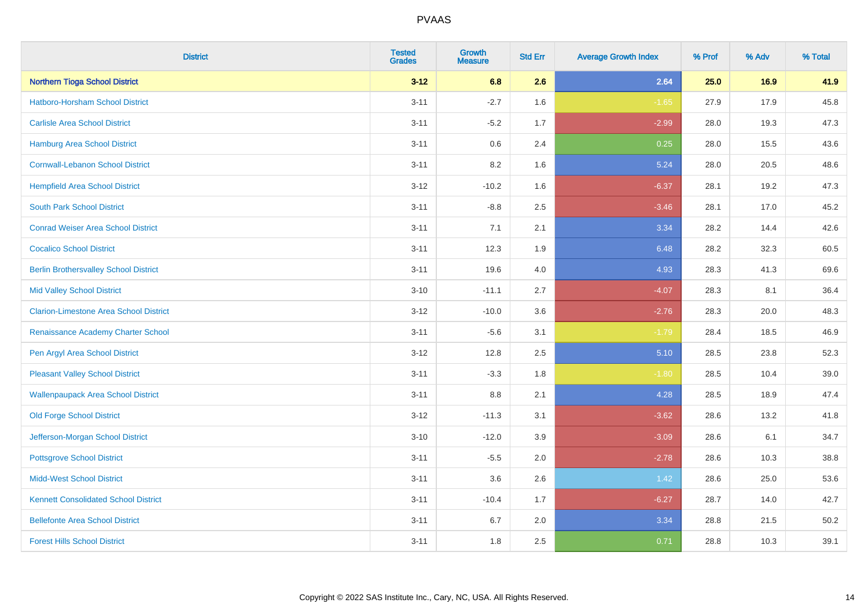| <b>District</b>                               | <b>Tested</b><br><b>Grades</b> | <b>Growth</b><br><b>Measure</b> | <b>Std Err</b> | <b>Average Growth Index</b> | % Prof | % Adv | % Total |
|-----------------------------------------------|--------------------------------|---------------------------------|----------------|-----------------------------|--------|-------|---------|
| <b>Northern Tioga School District</b>         | $3 - 12$                       | 6.8                             | 2.6            | 2.64                        | 25.0   | 16.9  | 41.9    |
| Hatboro-Horsham School District               | $3 - 11$                       | $-2.7$                          | 1.6            | $-1.65$                     | 27.9   | 17.9  | 45.8    |
| <b>Carlisle Area School District</b>          | $3 - 11$                       | $-5.2$                          | 1.7            | $-2.99$                     | 28.0   | 19.3  | 47.3    |
| Hamburg Area School District                  | $3 - 11$                       | 0.6                             | 2.4            | 0.25                        | 28.0   | 15.5  | 43.6    |
| <b>Cornwall-Lebanon School District</b>       | $3 - 11$                       | 8.2                             | 1.6            | 5.24                        | 28.0   | 20.5  | 48.6    |
| <b>Hempfield Area School District</b>         | $3 - 12$                       | $-10.2$                         | 1.6            | $-6.37$                     | 28.1   | 19.2  | 47.3    |
| <b>South Park School District</b>             | $3 - 11$                       | $-8.8$                          | 2.5            | $-3.46$                     | 28.1   | 17.0  | 45.2    |
| <b>Conrad Weiser Area School District</b>     | $3 - 11$                       | 7.1                             | 2.1            | 3.34                        | 28.2   | 14.4  | 42.6    |
| <b>Cocalico School District</b>               | $3 - 11$                       | 12.3                            | 1.9            | 6.48                        | 28.2   | 32.3  | 60.5    |
| <b>Berlin Brothersvalley School District</b>  | $3 - 11$                       | 19.6                            | 4.0            | 4.93                        | 28.3   | 41.3  | 69.6    |
| <b>Mid Valley School District</b>             | $3 - 10$                       | $-11.1$                         | 2.7            | $-4.07$                     | 28.3   | 8.1   | 36.4    |
| <b>Clarion-Limestone Area School District</b> | $3 - 12$                       | $-10.0$                         | 3.6            | $-2.76$                     | 28.3   | 20.0  | 48.3    |
| Renaissance Academy Charter School            | $3 - 11$                       | $-5.6$                          | 3.1            | $-1.79$                     | 28.4   | 18.5  | 46.9    |
| Pen Argyl Area School District                | $3 - 12$                       | 12.8                            | 2.5            | 5.10                        | 28.5   | 23.8  | 52.3    |
| <b>Pleasant Valley School District</b>        | $3 - 11$                       | $-3.3$                          | 1.8            | $-1.80$                     | 28.5   | 10.4  | 39.0    |
| <b>Wallenpaupack Area School District</b>     | $3 - 11$                       | 8.8                             | 2.1            | 4.28                        | 28.5   | 18.9  | 47.4    |
| <b>Old Forge School District</b>              | $3 - 12$                       | $-11.3$                         | 3.1            | $-3.62$                     | 28.6   | 13.2  | 41.8    |
| Jefferson-Morgan School District              | $3 - 10$                       | $-12.0$                         | 3.9            | $-3.09$                     | 28.6   | 6.1   | 34.7    |
| <b>Pottsgrove School District</b>             | $3 - 11$                       | $-5.5$                          | 2.0            | $-2.78$                     | 28.6   | 10.3  | 38.8    |
| <b>Midd-West School District</b>              | $3 - 11$                       | 3.6                             | 2.6            | 1.42                        | 28.6   | 25.0  | 53.6    |
| <b>Kennett Consolidated School District</b>   | $3 - 11$                       | $-10.4$                         | 1.7            | $-6.27$                     | 28.7   | 14.0  | 42.7    |
| <b>Bellefonte Area School District</b>        | $3 - 11$                       | 6.7                             | 2.0            | 3.34                        | 28.8   | 21.5  | 50.2    |
| <b>Forest Hills School District</b>           | $3 - 11$                       | 1.8                             | 2.5            | 0.71                        | 28.8   | 10.3  | 39.1    |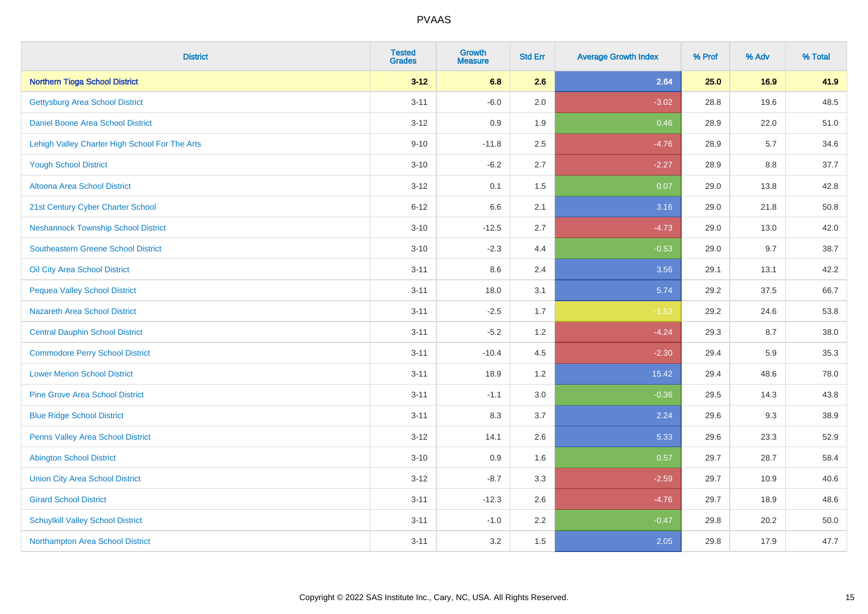| <b>District</b>                                | <b>Tested</b><br><b>Grades</b> | <b>Growth</b><br><b>Measure</b> | <b>Std Err</b> | <b>Average Growth Index</b> | % Prof | % Adv | % Total |
|------------------------------------------------|--------------------------------|---------------------------------|----------------|-----------------------------|--------|-------|---------|
| <b>Northern Tioga School District</b>          | $3 - 12$                       | 6.8                             | 2.6            | 2.64                        | 25.0   | 16.9  | 41.9    |
| <b>Gettysburg Area School District</b>         | $3 - 11$                       | $-6.0$                          | 2.0            | $-3.02$                     | 28.8   | 19.6  | 48.5    |
| Daniel Boone Area School District              | $3 - 12$                       | 0.9                             | 1.9            | 0.46                        | 28.9   | 22.0  | 51.0    |
| Lehigh Valley Charter High School For The Arts | $9 - 10$                       | $-11.8$                         | 2.5            | $-4.76$                     | 28.9   | 5.7   | 34.6    |
| <b>Yough School District</b>                   | $3 - 10$                       | $-6.2$                          | 2.7            | $-2.27$                     | 28.9   | 8.8   | 37.7    |
| Altoona Area School District                   | $3 - 12$                       | 0.1                             | 1.5            | 0.07                        | 29.0   | 13.8  | 42.8    |
| 21st Century Cyber Charter School              | $6 - 12$                       | 6.6                             | 2.1            | 3.16                        | 29.0   | 21.8  | 50.8    |
| <b>Neshannock Township School District</b>     | $3 - 10$                       | $-12.5$                         | 2.7            | $-4.73$                     | 29.0   | 13.0  | 42.0    |
| <b>Southeastern Greene School District</b>     | $3 - 10$                       | $-2.3$                          | 4.4            | $-0.53$                     | 29.0   | 9.7   | 38.7    |
| Oil City Area School District                  | $3 - 11$                       | 8.6                             | 2.4            | 3.56                        | 29.1   | 13.1  | 42.2    |
| <b>Pequea Valley School District</b>           | $3 - 11$                       | 18.0                            | 3.1            | 5.74                        | 29.2   | 37.5  | 66.7    |
| <b>Nazareth Area School District</b>           | $3 - 11$                       | $-2.5$                          | 1.7            | $-1.53$                     | 29.2   | 24.6  | 53.8    |
| <b>Central Dauphin School District</b>         | $3 - 11$                       | $-5.2$                          | 1.2            | $-4.24$                     | 29.3   | 8.7   | 38.0    |
| <b>Commodore Perry School District</b>         | $3 - 11$                       | $-10.4$                         | 4.5            | $-2.30$                     | 29.4   | 5.9   | 35.3    |
| <b>Lower Merion School District</b>            | $3 - 11$                       | 18.9                            | 1.2            | 15.42                       | 29.4   | 48.6  | 78.0    |
| <b>Pine Grove Area School District</b>         | $3 - 11$                       | $-1.1$                          | 3.0            | $-0.36$                     | 29.5   | 14.3  | 43.8    |
| <b>Blue Ridge School District</b>              | $3 - 11$                       | 8.3                             | 3.7            | 2.24                        | 29.6   | 9.3   | 38.9    |
| Penns Valley Area School District              | $3 - 12$                       | 14.1                            | 2.6            | 5.33                        | 29.6   | 23.3  | 52.9    |
| <b>Abington School District</b>                | $3 - 10$                       | 0.9                             | 1.6            | 0.57                        | 29.7   | 28.7  | 58.4    |
| <b>Union City Area School District</b>         | $3 - 12$                       | $-8.7$                          | 3.3            | $-2.59$                     | 29.7   | 10.9  | 40.6    |
| <b>Girard School District</b>                  | $3 - 11$                       | $-12.3$                         | 2.6            | $-4.76$                     | 29.7   | 18.9  | 48.6    |
| <b>Schuylkill Valley School District</b>       | $3 - 11$                       | $-1.0$                          | 2.2            | $-0.47$                     | 29.8   | 20.2  | 50.0    |
| Northampton Area School District               | $3 - 11$                       | 3.2                             | 1.5            | 2.05                        | 29.8   | 17.9  | 47.7    |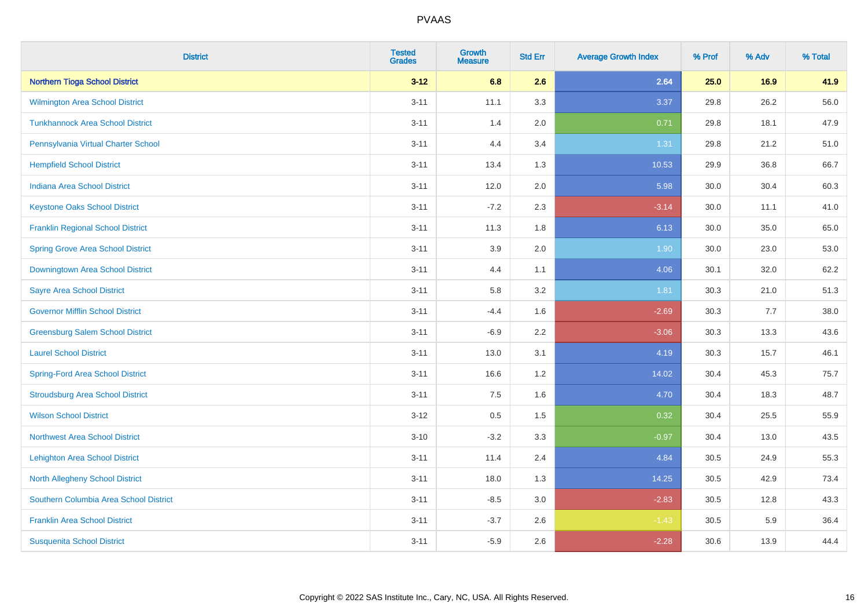| <b>District</b>                          | <b>Tested</b><br><b>Grades</b> | <b>Growth</b><br><b>Measure</b> | <b>Std Err</b> | <b>Average Growth Index</b> | % Prof | % Adv | % Total |
|------------------------------------------|--------------------------------|---------------------------------|----------------|-----------------------------|--------|-------|---------|
| <b>Northern Tioga School District</b>    | $3 - 12$                       | 6.8                             | 2.6            | 2.64                        | 25.0   | 16.9  | 41.9    |
| Wilmington Area School District          | $3 - 11$                       | 11.1                            | 3.3            | 3.37                        | 29.8   | 26.2  | 56.0    |
| <b>Tunkhannock Area School District</b>  | $3 - 11$                       | 1.4                             | 2.0            | 0.71                        | 29.8   | 18.1  | 47.9    |
| Pennsylvania Virtual Charter School      | $3 - 11$                       | 4.4                             | 3.4            | 1.31                        | 29.8   | 21.2  | 51.0    |
| <b>Hempfield School District</b>         | $3 - 11$                       | 13.4                            | 1.3            | 10.53                       | 29.9   | 36.8  | 66.7    |
| <b>Indiana Area School District</b>      | $3 - 11$                       | 12.0                            | 2.0            | 5.98                        | 30.0   | 30.4  | 60.3    |
| <b>Keystone Oaks School District</b>     | $3 - 11$                       | $-7.2$                          | 2.3            | $-3.14$                     | 30.0   | 11.1  | 41.0    |
| <b>Franklin Regional School District</b> | $3 - 11$                       | 11.3                            | 1.8            | 6.13                        | 30.0   | 35.0  | 65.0    |
| <b>Spring Grove Area School District</b> | $3 - 11$                       | 3.9                             | 2.0            | 1.90                        | 30.0   | 23.0  | 53.0    |
| Downingtown Area School District         | $3 - 11$                       | 4.4                             | 1.1            | 4.06                        | 30.1   | 32.0  | 62.2    |
| <b>Sayre Area School District</b>        | $3 - 11$                       | 5.8                             | 3.2            | 1.81                        | 30.3   | 21.0  | 51.3    |
| <b>Governor Mifflin School District</b>  | $3 - 11$                       | $-4.4$                          | 1.6            | $-2.69$                     | 30.3   | 7.7   | 38.0    |
| <b>Greensburg Salem School District</b>  | $3 - 11$                       | $-6.9$                          | 2.2            | $-3.06$                     | 30.3   | 13.3  | 43.6    |
| <b>Laurel School District</b>            | $3 - 11$                       | 13.0                            | 3.1            | 4.19                        | 30.3   | 15.7  | 46.1    |
| <b>Spring-Ford Area School District</b>  | $3 - 11$                       | 16.6                            | 1.2            | 14.02                       | 30.4   | 45.3  | 75.7    |
| <b>Stroudsburg Area School District</b>  | $3 - 11$                       | 7.5                             | 1.6            | 4.70                        | 30.4   | 18.3  | 48.7    |
| <b>Wilson School District</b>            | $3 - 12$                       | 0.5                             | 1.5            | 0.32                        | 30.4   | 25.5  | 55.9    |
| <b>Northwest Area School District</b>    | $3 - 10$                       | $-3.2$                          | 3.3            | $-0.97$                     | 30.4   | 13.0  | 43.5    |
| <b>Lehighton Area School District</b>    | $3 - 11$                       | 11.4                            | 2.4            | 4.84                        | 30.5   | 24.9  | 55.3    |
| <b>North Allegheny School District</b>   | $3 - 11$                       | 18.0                            | 1.3            | 14.25                       | 30.5   | 42.9  | 73.4    |
| Southern Columbia Area School District   | $3 - 11$                       | $-8.5$                          | 3.0            | $-2.83$                     | 30.5   | 12.8  | 43.3    |
| <b>Franklin Area School District</b>     | $3 - 11$                       | $-3.7$                          | 2.6            | $-1.43$                     | 30.5   | 5.9   | 36.4    |
| <b>Susquenita School District</b>        | $3 - 11$                       | $-5.9$                          | 2.6            | $-2.28$                     | 30.6   | 13.9  | 44.4    |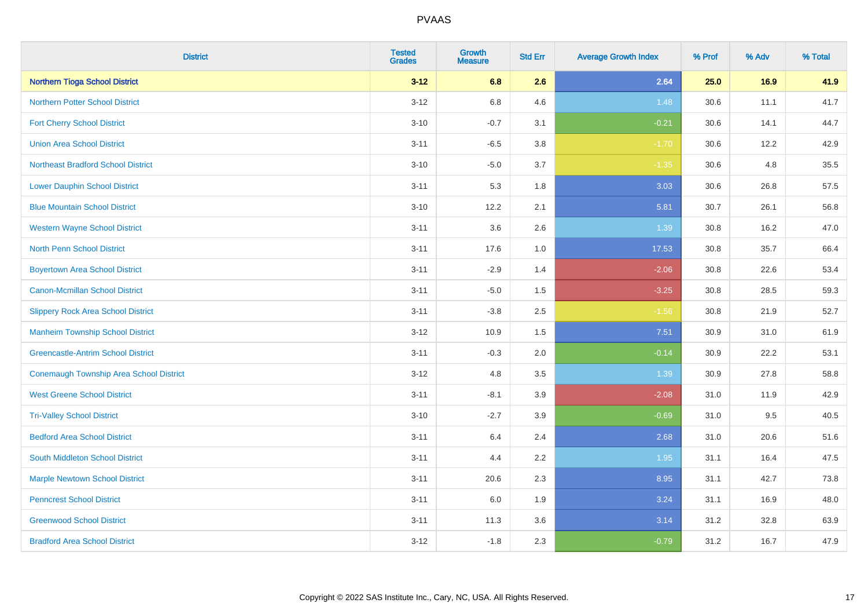| <b>District</b>                                | <b>Tested</b><br><b>Grades</b> | <b>Growth</b><br><b>Measure</b> | <b>Std Err</b> | <b>Average Growth Index</b> | % Prof | % Adv | % Total |
|------------------------------------------------|--------------------------------|---------------------------------|----------------|-----------------------------|--------|-------|---------|
| <b>Northern Tioga School District</b>          | $3 - 12$                       | 6.8                             | 2.6            | 2.64                        | 25.0   | 16.9  | 41.9    |
| <b>Northern Potter School District</b>         | $3 - 12$                       | 6.8                             | 4.6            | 1.48                        | 30.6   | 11.1  | 41.7    |
| <b>Fort Cherry School District</b>             | $3 - 10$                       | $-0.7$                          | 3.1            | $-0.21$                     | 30.6   | 14.1  | 44.7    |
| <b>Union Area School District</b>              | $3 - 11$                       | $-6.5$                          | 3.8            | $-1.70$                     | 30.6   | 12.2  | 42.9    |
| <b>Northeast Bradford School District</b>      | $3 - 10$                       | $-5.0$                          | 3.7            | $-1.35$                     | 30.6   | 4.8   | 35.5    |
| <b>Lower Dauphin School District</b>           | $3 - 11$                       | 5.3                             | 1.8            | 3.03                        | 30.6   | 26.8  | 57.5    |
| <b>Blue Mountain School District</b>           | $3 - 10$                       | 12.2                            | 2.1            | 5.81                        | 30.7   | 26.1  | 56.8    |
| <b>Western Wayne School District</b>           | $3 - 11$                       | 3.6                             | 2.6            | 1.39                        | 30.8   | 16.2  | 47.0    |
| <b>North Penn School District</b>              | $3 - 11$                       | 17.6                            | 1.0            | 17.53                       | 30.8   | 35.7  | 66.4    |
| <b>Boyertown Area School District</b>          | $3 - 11$                       | $-2.9$                          | 1.4            | $-2.06$                     | 30.8   | 22.6  | 53.4    |
| <b>Canon-Mcmillan School District</b>          | $3 - 11$                       | $-5.0$                          | 1.5            | $-3.25$                     | 30.8   | 28.5  | 59.3    |
| <b>Slippery Rock Area School District</b>      | $3 - 11$                       | $-3.8$                          | 2.5            | $-1.56$                     | 30.8   | 21.9  | 52.7    |
| <b>Manheim Township School District</b>        | $3 - 12$                       | 10.9                            | 1.5            | 7.51                        | 30.9   | 31.0  | 61.9    |
| <b>Greencastle-Antrim School District</b>      | $3 - 11$                       | $-0.3$                          | 2.0            | $-0.14$                     | 30.9   | 22.2  | 53.1    |
| <b>Conemaugh Township Area School District</b> | $3 - 12$                       | 4.8                             | 3.5            | 1.39                        | 30.9   | 27.8  | 58.8    |
| <b>West Greene School District</b>             | $3 - 11$                       | $-8.1$                          | 3.9            | $-2.08$                     | 31.0   | 11.9  | 42.9    |
| <b>Tri-Valley School District</b>              | $3 - 10$                       | $-2.7$                          | 3.9            | $-0.69$                     | 31.0   | 9.5   | 40.5    |
| <b>Bedford Area School District</b>            | $3 - 11$                       | 6.4                             | 2.4            | 2.68                        | 31.0   | 20.6  | 51.6    |
| South Middleton School District                | $3 - 11$                       | 4.4                             | 2.2            | 1.95                        | 31.1   | 16.4  | 47.5    |
| <b>Marple Newtown School District</b>          | $3 - 11$                       | 20.6                            | 2.3            | 8.95                        | 31.1   | 42.7  | 73.8    |
| <b>Penncrest School District</b>               | $3 - 11$                       | 6.0                             | 1.9            | 3.24                        | 31.1   | 16.9  | 48.0    |
| <b>Greenwood School District</b>               | $3 - 11$                       | 11.3                            | 3.6            | 3.14                        | 31.2   | 32.8  | 63.9    |
| <b>Bradford Area School District</b>           | $3 - 12$                       | $-1.8$                          | 2.3            | $-0.79$                     | 31.2   | 16.7  | 47.9    |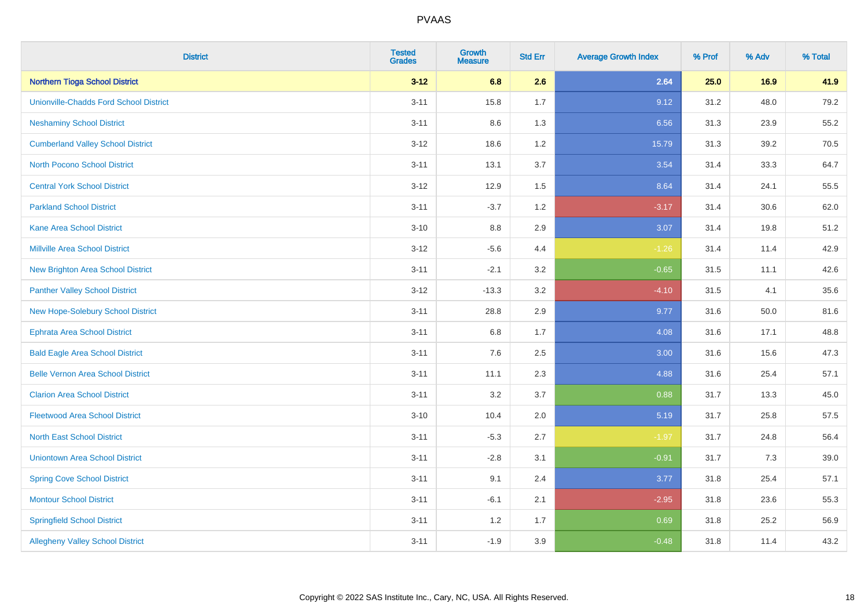| <b>District</b>                               | <b>Tested</b><br><b>Grades</b> | <b>Growth</b><br>Measure | <b>Std Err</b> | <b>Average Growth Index</b> | % Prof | % Adv | % Total |
|-----------------------------------------------|--------------------------------|--------------------------|----------------|-----------------------------|--------|-------|---------|
| <b>Northern Tioga School District</b>         | $3 - 12$                       | 6.8                      | 2.6            | 2.64                        | 25.0   | 16.9  | 41.9    |
| <b>Unionville-Chadds Ford School District</b> | $3 - 11$                       | 15.8                     | 1.7            | 9.12                        | 31.2   | 48.0  | 79.2    |
| <b>Neshaminy School District</b>              | $3 - 11$                       | 8.6                      | 1.3            | 6.56                        | 31.3   | 23.9  | 55.2    |
| <b>Cumberland Valley School District</b>      | $3-12$                         | 18.6                     | 1.2            | 15.79                       | 31.3   | 39.2  | 70.5    |
| <b>North Pocono School District</b>           | $3 - 11$                       | 13.1                     | 3.7            | 3.54                        | 31.4   | 33.3  | 64.7    |
| <b>Central York School District</b>           | $3 - 12$                       | 12.9                     | 1.5            | 8.64                        | 31.4   | 24.1  | 55.5    |
| <b>Parkland School District</b>               | $3 - 11$                       | $-3.7$                   | 1.2            | $-3.17$                     | 31.4   | 30.6  | 62.0    |
| <b>Kane Area School District</b>              | $3 - 10$                       | $8.8\,$                  | 2.9            | 3.07                        | 31.4   | 19.8  | 51.2    |
| <b>Millville Area School District</b>         | $3-12$                         | $-5.6$                   | 4.4            | $-1.26$                     | 31.4   | 11.4  | 42.9    |
| <b>New Brighton Area School District</b>      | $3 - 11$                       | $-2.1$                   | 3.2            | $-0.65$                     | 31.5   | 11.1  | 42.6    |
| <b>Panther Valley School District</b>         | $3 - 12$                       | $-13.3$                  | 3.2            | $-4.10$                     | 31.5   | 4.1   | 35.6    |
| New Hope-Solebury School District             | $3 - 11$                       | 28.8                     | 2.9            | 9.77                        | 31.6   | 50.0  | 81.6    |
| <b>Ephrata Area School District</b>           | $3 - 11$                       | $6.8\,$                  | 1.7            | 4.08                        | 31.6   | 17.1  | 48.8    |
| <b>Bald Eagle Area School District</b>        | $3 - 11$                       | 7.6                      | 2.5            | 3.00                        | 31.6   | 15.6  | 47.3    |
| <b>Belle Vernon Area School District</b>      | $3 - 11$                       | 11.1                     | 2.3            | 4.88                        | 31.6   | 25.4  | 57.1    |
| <b>Clarion Area School District</b>           | $3 - 11$                       | 3.2                      | 3.7            | 0.88                        | 31.7   | 13.3  | 45.0    |
| <b>Fleetwood Area School District</b>         | $3 - 10$                       | 10.4                     | 2.0            | 5.19                        | 31.7   | 25.8  | 57.5    |
| <b>North East School District</b>             | $3 - 11$                       | $-5.3$                   | 2.7            | $-1.97$                     | 31.7   | 24.8  | 56.4    |
| <b>Uniontown Area School District</b>         | $3 - 11$                       | $-2.8$                   | 3.1            | $-0.91$                     | 31.7   | 7.3   | 39.0    |
| <b>Spring Cove School District</b>            | $3 - 11$                       | 9.1                      | 2.4            | 3.77                        | 31.8   | 25.4  | 57.1    |
| <b>Montour School District</b>                | $3 - 11$                       | $-6.1$                   | 2.1            | $-2.95$                     | 31.8   | 23.6  | 55.3    |
| <b>Springfield School District</b>            | $3 - 11$                       | 1.2                      | 1.7            | 0.69                        | 31.8   | 25.2  | 56.9    |
| <b>Allegheny Valley School District</b>       | $3 - 11$                       | $-1.9$                   | 3.9            | $-0.48$                     | 31.8   | 11.4  | 43.2    |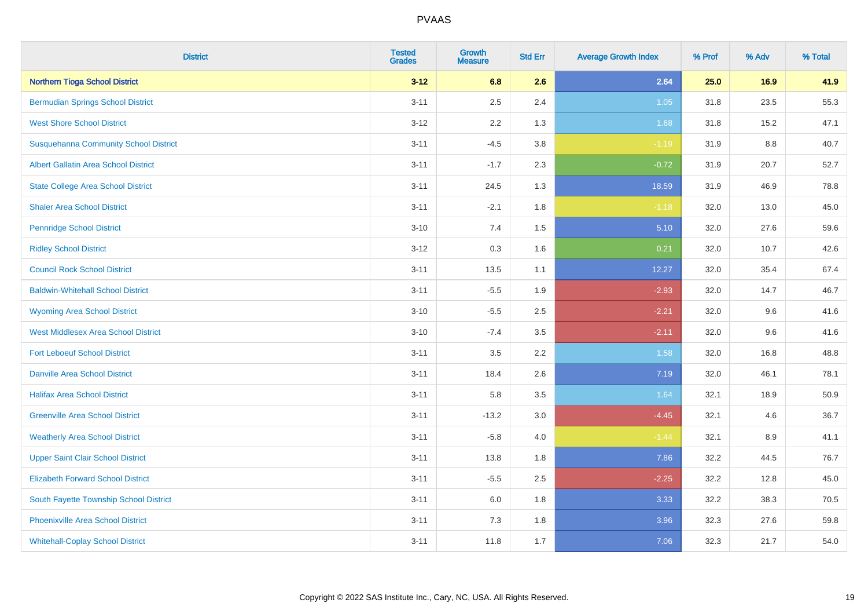| <b>District</b>                              | <b>Tested</b><br><b>Grades</b> | <b>Growth</b><br><b>Measure</b> | <b>Std Err</b> | <b>Average Growth Index</b> | % Prof | % Adv   | % Total |
|----------------------------------------------|--------------------------------|---------------------------------|----------------|-----------------------------|--------|---------|---------|
| <b>Northern Tioga School District</b>        | $3 - 12$                       | 6.8                             | 2.6            | 2.64                        | 25.0   | 16.9    | 41.9    |
| <b>Bermudian Springs School District</b>     | $3 - 11$                       | 2.5                             | 2.4            | 1.05                        | 31.8   | 23.5    | 55.3    |
| <b>West Shore School District</b>            | $3 - 12$                       | 2.2                             | 1.3            | 1.68                        | 31.8   | 15.2    | 47.1    |
| <b>Susquehanna Community School District</b> | $3 - 11$                       | $-4.5$                          | 3.8            | $-1.19$                     | 31.9   | 8.8     | 40.7    |
| <b>Albert Gallatin Area School District</b>  | $3 - 11$                       | $-1.7$                          | 2.3            | $-0.72$                     | 31.9   | 20.7    | 52.7    |
| <b>State College Area School District</b>    | $3 - 11$                       | 24.5                            | 1.3            | 18.59                       | 31.9   | 46.9    | 78.8    |
| <b>Shaler Area School District</b>           | $3 - 11$                       | $-2.1$                          | 1.8            | $-1.18$                     | 32.0   | 13.0    | 45.0    |
| <b>Pennridge School District</b>             | $3 - 10$                       | 7.4                             | 1.5            | 5.10                        | 32.0   | 27.6    | 59.6    |
| <b>Ridley School District</b>                | $3-12$                         | 0.3                             | 1.6            | 0.21                        | 32.0   | 10.7    | 42.6    |
| <b>Council Rock School District</b>          | $3 - 11$                       | 13.5                            | 1.1            | 12.27                       | 32.0   | 35.4    | 67.4    |
| <b>Baldwin-Whitehall School District</b>     | $3 - 11$                       | $-5.5$                          | 1.9            | $-2.93$                     | 32.0   | 14.7    | 46.7    |
| <b>Wyoming Area School District</b>          | $3 - 10$                       | $-5.5$                          | 2.5            | $-2.21$                     | 32.0   | 9.6     | 41.6    |
| West Middlesex Area School District          | $3 - 10$                       | $-7.4$                          | 3.5            | $-2.11$                     | 32.0   | $9.6\,$ | 41.6    |
| <b>Fort Leboeuf School District</b>          | $3 - 11$                       | 3.5                             | 2.2            | 1.58                        | 32.0   | 16.8    | 48.8    |
| <b>Danville Area School District</b>         | $3 - 11$                       | 18.4                            | 2.6            | 7.19                        | 32.0   | 46.1    | 78.1    |
| <b>Halifax Area School District</b>          | $3 - 11$                       | 5.8                             | 3.5            | 1.64                        | 32.1   | 18.9    | 50.9    |
| <b>Greenville Area School District</b>       | $3 - 11$                       | $-13.2$                         | 3.0            | $-4.45$                     | 32.1   | 4.6     | 36.7    |
| <b>Weatherly Area School District</b>        | $3 - 11$                       | $-5.8$                          | 4.0            | $-1.44$                     | 32.1   | 8.9     | 41.1    |
| <b>Upper Saint Clair School District</b>     | $3 - 11$                       | 13.8                            | 1.8            | 7.86                        | 32.2   | 44.5    | 76.7    |
| <b>Elizabeth Forward School District</b>     | $3 - 11$                       | $-5.5$                          | 2.5            | $-2.25$                     | 32.2   | 12.8    | 45.0    |
| South Fayette Township School District       | $3 - 11$                       | 6.0                             | 1.8            | 3.33                        | 32.2   | 38.3    | 70.5    |
| <b>Phoenixville Area School District</b>     | $3 - 11$                       | 7.3                             | 1.8            | 3.96                        | 32.3   | 27.6    | 59.8    |
| <b>Whitehall-Coplay School District</b>      | $3 - 11$                       | 11.8                            | 1.7            | 7.06                        | 32.3   | 21.7    | 54.0    |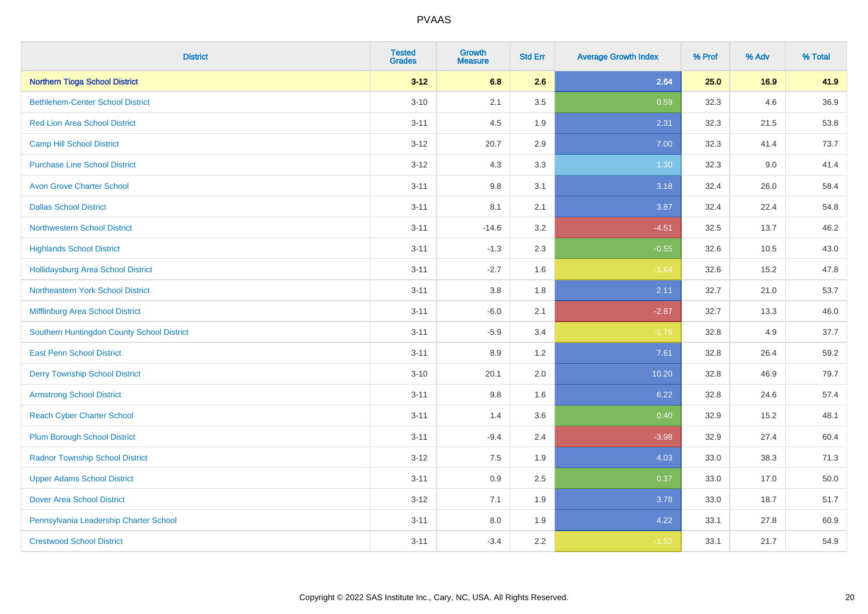| <b>District</b>                            | <b>Tested</b><br><b>Grades</b> | <b>Growth</b><br><b>Measure</b> | <b>Std Err</b> | <b>Average Growth Index</b> | % Prof | % Adv | % Total |
|--------------------------------------------|--------------------------------|---------------------------------|----------------|-----------------------------|--------|-------|---------|
| <b>Northern Tioga School District</b>      | $3 - 12$                       | 6.8                             | 2.6            | 2.64                        | 25.0   | 16.9  | 41.9    |
| <b>Bethlehem-Center School District</b>    | $3 - 10$                       | 2.1                             | 3.5            | 0.59                        | 32.3   | 4.6   | 36.9    |
| <b>Red Lion Area School District</b>       | $3 - 11$                       | 4.5                             | 1.9            | 2.31                        | 32.3   | 21.5  | 53.8    |
| <b>Camp Hill School District</b>           | $3 - 12$                       | 20.7                            | 2.9            | 7.00                        | 32.3   | 41.4  | 73.7    |
| <b>Purchase Line School District</b>       | $3 - 12$                       | 4.3                             | 3.3            | 1.30                        | 32.3   | 9.0   | 41.4    |
| <b>Avon Grove Charter School</b>           | $3 - 11$                       | 9.8                             | 3.1            | 3.18                        | 32.4   | 26.0  | 58.4    |
| <b>Dallas School District</b>              | $3 - 11$                       | 8.1                             | 2.1            | 3.87                        | 32.4   | 22.4  | 54.8    |
| <b>Northwestern School District</b>        | $3 - 11$                       | $-14.6$                         | 3.2            | $-4.51$                     | 32.5   | 13.7  | 46.2    |
| <b>Highlands School District</b>           | $3 - 11$                       | $-1.3$                          | 2.3            | $-0.55$                     | 32.6   | 10.5  | 43.0    |
| <b>Hollidaysburg Area School District</b>  | $3 - 11$                       | $-2.7$                          | 1.6            | $-1.64$                     | 32.6   | 15.2  | 47.8    |
| Northeastern York School District          | $3 - 11$                       | 3.8                             | 1.8            | 2.11                        | 32.7   | 21.0  | 53.7    |
| Mifflinburg Area School District           | $3 - 11$                       | $-6.0$                          | 2.1            | $-2.87$                     | 32.7   | 13.3  | 46.0    |
| Southern Huntingdon County School District | $3 - 11$                       | $-5.9$                          | 3.4            | $-1.76$                     | 32.8   | 4.9   | 37.7    |
| <b>East Penn School District</b>           | $3 - 11$                       | 8.9                             | 1.2            | 7.61                        | 32.8   | 26.4  | 59.2    |
| <b>Derry Township School District</b>      | $3 - 10$                       | 20.1                            | 2.0            | 10.20                       | 32.8   | 46.9  | 79.7    |
| <b>Armstrong School District</b>           | $3 - 11$                       | 9.8                             | 1.6            | 6.22                        | 32.8   | 24.6  | 57.4    |
| <b>Reach Cyber Charter School</b>          | $3 - 11$                       | 1.4                             | 3.6            | 0.40                        | 32.9   | 15.2  | 48.1    |
| <b>Plum Borough School District</b>        | $3 - 11$                       | $-9.4$                          | 2.4            | $-3.98$                     | 32.9   | 27.4  | 60.4    |
| <b>Radnor Township School District</b>     | $3 - 12$                       | $7.5\,$                         | 1.9            | 4.03                        | 33.0   | 38.3  | 71.3    |
| <b>Upper Adams School District</b>         | $3 - 11$                       | 0.9                             | 2.5            | 0.37                        | 33.0   | 17.0  | 50.0    |
| <b>Dover Area School District</b>          | $3 - 12$                       | 7.1                             | 1.9            | 3.78                        | 33.0   | 18.7  | 51.7    |
| Pennsylvania Leadership Charter School     | $3 - 11$                       | 8.0                             | 1.9            | 4.22                        | 33.1   | 27.8  | 60.9    |
| <b>Crestwood School District</b>           | $3 - 11$                       | $-3.4$                          | 2.2            | $-1.52$                     | 33.1   | 21.7  | 54.9    |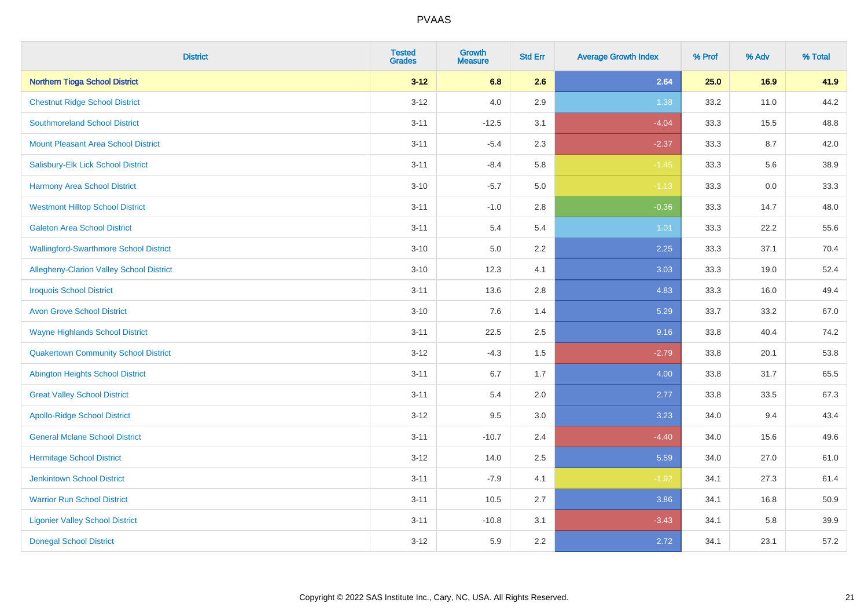| <b>District</b>                               | <b>Tested</b><br><b>Grades</b> | <b>Growth</b><br><b>Measure</b> | <b>Std Err</b> | <b>Average Growth Index</b> | % Prof | % Adv | % Total |
|-----------------------------------------------|--------------------------------|---------------------------------|----------------|-----------------------------|--------|-------|---------|
| <b>Northern Tioga School District</b>         | $3 - 12$                       | 6.8                             | 2.6            | 2.64                        | 25.0   | 16.9  | 41.9    |
| <b>Chestnut Ridge School District</b>         | $3 - 12$                       | $4.0\,$                         | 2.9            | 1.38                        | 33.2   | 11.0  | 44.2    |
| <b>Southmoreland School District</b>          | $3 - 11$                       | $-12.5$                         | 3.1            | $-4.04$                     | 33.3   | 15.5  | 48.8    |
| Mount Pleasant Area School District           | $3 - 11$                       | $-5.4$                          | 2.3            | $-2.37$                     | 33.3   | 8.7   | 42.0    |
| Salisbury-Elk Lick School District            | $3 - 11$                       | $-8.4$                          | 5.8            | $-1.45$                     | 33.3   | 5.6   | 38.9    |
| <b>Harmony Area School District</b>           | $3 - 10$                       | $-5.7$                          | 5.0            | $-1.13$                     | 33.3   | 0.0   | 33.3    |
| <b>Westmont Hilltop School District</b>       | $3 - 11$                       | $-1.0$                          | 2.8            | $-0.36$                     | 33.3   | 14.7  | 48.0    |
| <b>Galeton Area School District</b>           | $3 - 11$                       | 5.4                             | 5.4            | 1.01                        | 33.3   | 22.2  | 55.6    |
| <b>Wallingford-Swarthmore School District</b> | $3 - 10$                       | 5.0                             | 2.2            | 2.25                        | 33.3   | 37.1  | 70.4    |
| Allegheny-Clarion Valley School District      | $3 - 10$                       | 12.3                            | 4.1            | 3.03                        | 33.3   | 19.0  | 52.4    |
| <b>Iroquois School District</b>               | $3 - 11$                       | 13.6                            | 2.8            | 4.83                        | 33.3   | 16.0  | 49.4    |
| <b>Avon Grove School District</b>             | $3 - 10$                       | 7.6                             | 1.4            | 5.29                        | 33.7   | 33.2  | 67.0    |
| <b>Wayne Highlands School District</b>        | $3 - 11$                       | 22.5                            | 2.5            | 9.16                        | 33.8   | 40.4  | 74.2    |
| <b>Quakertown Community School District</b>   | $3 - 12$                       | $-4.3$                          | 1.5            | $-2.79$                     | 33.8   | 20.1  | 53.8    |
| <b>Abington Heights School District</b>       | $3 - 11$                       | 6.7                             | 1.7            | 4.00                        | 33.8   | 31.7  | 65.5    |
| <b>Great Valley School District</b>           | $3 - 11$                       | 5.4                             | 2.0            | 2.77                        | 33.8   | 33.5  | 67.3    |
| <b>Apollo-Ridge School District</b>           | $3 - 12$                       | 9.5                             | 3.0            | 3.23                        | 34.0   | 9.4   | 43.4    |
| <b>General Mclane School District</b>         | $3 - 11$                       | $-10.7$                         | 2.4            | $-4.40$                     | 34.0   | 15.6  | 49.6    |
| <b>Hermitage School District</b>              | $3 - 12$                       | 14.0                            | 2.5            | 5.59                        | 34.0   | 27.0  | 61.0    |
| <b>Jenkintown School District</b>             | $3 - 11$                       | $-7.9$                          | 4.1            | $-1.92$                     | 34.1   | 27.3  | 61.4    |
| <b>Warrior Run School District</b>            | $3 - 11$                       | 10.5                            | 2.7            | 3.86                        | 34.1   | 16.8  | 50.9    |
| <b>Ligonier Valley School District</b>        | $3 - 11$                       | $-10.8$                         | 3.1            | $-3.43$                     | 34.1   | 5.8   | 39.9    |
| <b>Donegal School District</b>                | $3 - 12$                       | 5.9                             | 2.2            | 2.72                        | 34.1   | 23.1  | 57.2    |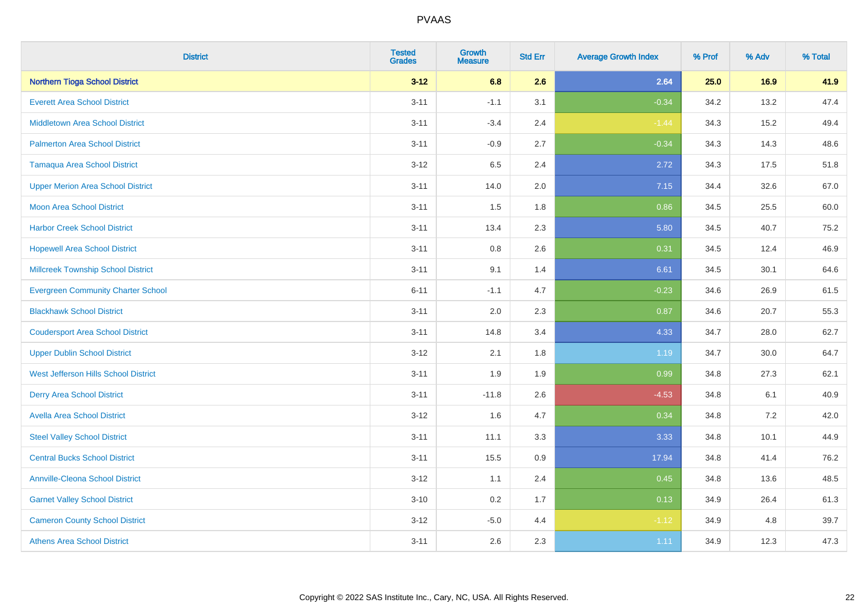| <b>District</b>                           | <b>Tested</b><br><b>Grades</b> | <b>Growth</b><br><b>Measure</b> | <b>Std Err</b> | <b>Average Growth Index</b> | % Prof | % Adv | % Total |
|-------------------------------------------|--------------------------------|---------------------------------|----------------|-----------------------------|--------|-------|---------|
| <b>Northern Tioga School District</b>     | $3 - 12$                       | 6.8                             | 2.6            | 2.64                        | 25.0   | 16.9  | 41.9    |
| <b>Everett Area School District</b>       | $3 - 11$                       | $-1.1$                          | 3.1            | $-0.34$                     | 34.2   | 13.2  | 47.4    |
| <b>Middletown Area School District</b>    | $3 - 11$                       | $-3.4$                          | 2.4            | $-1.44$                     | 34.3   | 15.2  | 49.4    |
| <b>Palmerton Area School District</b>     | $3 - 11$                       | $-0.9$                          | 2.7            | $-0.34$                     | 34.3   | 14.3  | 48.6    |
| <b>Tamaqua Area School District</b>       | $3 - 12$                       | 6.5                             | 2.4            | 2.72                        | 34.3   | 17.5  | 51.8    |
| <b>Upper Merion Area School District</b>  | $3 - 11$                       | 14.0                            | 2.0            | 7.15                        | 34.4   | 32.6  | 67.0    |
| <b>Moon Area School District</b>          | $3 - 11$                       | 1.5                             | 1.8            | 0.86                        | 34.5   | 25.5  | 60.0    |
| <b>Harbor Creek School District</b>       | $3 - 11$                       | 13.4                            | 2.3            | 5.80                        | 34.5   | 40.7  | 75.2    |
| <b>Hopewell Area School District</b>      | $3 - 11$                       | 0.8                             | 2.6            | 0.31                        | 34.5   | 12.4  | 46.9    |
| <b>Millcreek Township School District</b> | $3 - 11$                       | 9.1                             | 1.4            | 6.61                        | 34.5   | 30.1  | 64.6    |
| <b>Evergreen Community Charter School</b> | $6 - 11$                       | $-1.1$                          | 4.7            | $-0.23$                     | 34.6   | 26.9  | 61.5    |
| <b>Blackhawk School District</b>          | $3 - 11$                       | 2.0                             | 2.3            | 0.87                        | 34.6   | 20.7  | 55.3    |
| <b>Coudersport Area School District</b>   | $3 - 11$                       | 14.8                            | 3.4            | 4.33                        | 34.7   | 28.0  | 62.7    |
| <b>Upper Dublin School District</b>       | $3 - 12$                       | 2.1                             | 1.8            | 1.19                        | 34.7   | 30.0  | 64.7    |
| West Jefferson Hills School District      | $3 - 11$                       | 1.9                             | 1.9            | 0.99                        | 34.8   | 27.3  | 62.1    |
| <b>Derry Area School District</b>         | $3 - 11$                       | $-11.8$                         | 2.6            | $-4.53$                     | 34.8   | 6.1   | 40.9    |
| <b>Avella Area School District</b>        | $3 - 12$                       | 1.6                             | 4.7            | 0.34                        | 34.8   | 7.2   | 42.0    |
| <b>Steel Valley School District</b>       | $3 - 11$                       | 11.1                            | 3.3            | 3.33                        | 34.8   | 10.1  | 44.9    |
| <b>Central Bucks School District</b>      | $3 - 11$                       | 15.5                            | 0.9            | 17.94                       | 34.8   | 41.4  | 76.2    |
| <b>Annville-Cleona School District</b>    | $3 - 12$                       | 1.1                             | 2.4            | 0.45                        | 34.8   | 13.6  | 48.5    |
| <b>Garnet Valley School District</b>      | $3 - 10$                       | 0.2                             | 1.7            | 0.13                        | 34.9   | 26.4  | 61.3    |
| <b>Cameron County School District</b>     | $3 - 12$                       | $-5.0$                          | 4.4            | $-1.12$                     | 34.9   | 4.8   | 39.7    |
| <b>Athens Area School District</b>        | $3 - 11$                       | 2.6                             | 2.3            | 1.11                        | 34.9   | 12.3  | 47.3    |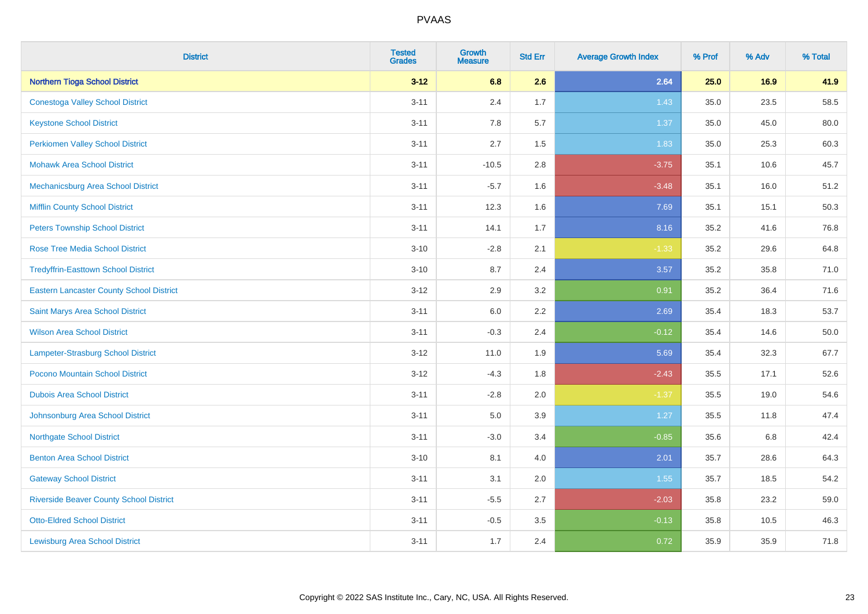| <b>District</b>                                 | <b>Tested</b><br><b>Grades</b> | <b>Growth</b><br><b>Measure</b> | <b>Std Err</b> | <b>Average Growth Index</b> | % Prof | % Adv | % Total  |
|-------------------------------------------------|--------------------------------|---------------------------------|----------------|-----------------------------|--------|-------|----------|
| <b>Northern Tioga School District</b>           | $3 - 12$                       | 6.8                             | 2.6            | 2.64                        | 25.0   | 16.9  | 41.9     |
| <b>Conestoga Valley School District</b>         | $3 - 11$                       | 2.4                             | 1.7            | 1.43                        | 35.0   | 23.5  | 58.5     |
| <b>Keystone School District</b>                 | $3 - 11$                       | 7.8                             | 5.7            | 1.37                        | 35.0   | 45.0  | 80.0     |
| <b>Perkiomen Valley School District</b>         | $3 - 11$                       | 2.7                             | 1.5            | 1.83                        | 35.0   | 25.3  | 60.3     |
| <b>Mohawk Area School District</b>              | $3 - 11$                       | $-10.5$                         | 2.8            | $-3.75$                     | 35.1   | 10.6  | 45.7     |
| Mechanicsburg Area School District              | $3 - 11$                       | $-5.7$                          | 1.6            | $-3.48$                     | 35.1   | 16.0  | 51.2     |
| <b>Mifflin County School District</b>           | $3 - 11$                       | 12.3                            | 1.6            | 7.69                        | 35.1   | 15.1  | 50.3     |
| <b>Peters Township School District</b>          | $3 - 11$                       | 14.1                            | 1.7            | 8.16                        | 35.2   | 41.6  | 76.8     |
| <b>Rose Tree Media School District</b>          | $3 - 10$                       | $-2.8$                          | 2.1            | $-1.33$                     | 35.2   | 29.6  | 64.8     |
| <b>Tredyffrin-Easttown School District</b>      | $3 - 10$                       | 8.7                             | 2.4            | 3.57                        | 35.2   | 35.8  | 71.0     |
| <b>Eastern Lancaster County School District</b> | $3 - 12$                       | 2.9                             | 3.2            | 0.91                        | 35.2   | 36.4  | 71.6     |
| Saint Marys Area School District                | $3 - 11$                       | 6.0                             | 2.2            | 2.69                        | 35.4   | 18.3  | 53.7     |
| <b>Wilson Area School District</b>              | $3 - 11$                       | $-0.3$                          | 2.4            | $-0.12$                     | 35.4   | 14.6  | $50.0\,$ |
| Lampeter-Strasburg School District              | $3 - 12$                       | 11.0                            | 1.9            | 5.69                        | 35.4   | 32.3  | 67.7     |
| Pocono Mountain School District                 | $3 - 12$                       | $-4.3$                          | 1.8            | $-2.43$                     | 35.5   | 17.1  | 52.6     |
| <b>Dubois Area School District</b>              | $3 - 11$                       | $-2.8$                          | 2.0            | $-1.37$                     | 35.5   | 19.0  | 54.6     |
| Johnsonburg Area School District                | $3 - 11$                       | 5.0                             | 3.9            | 1.27                        | 35.5   | 11.8  | 47.4     |
| <b>Northgate School District</b>                | $3 - 11$                       | $-3.0$                          | 3.4            | $-0.85$                     | 35.6   | 6.8   | 42.4     |
| <b>Benton Area School District</b>              | $3 - 10$                       | 8.1                             | 4.0            | 2.01                        | 35.7   | 28.6  | 64.3     |
| <b>Gateway School District</b>                  | $3 - 11$                       | 3.1                             | 2.0            | 1.55                        | 35.7   | 18.5  | 54.2     |
| <b>Riverside Beaver County School District</b>  | $3 - 11$                       | $-5.5$                          | 2.7            | $-2.03$                     | 35.8   | 23.2  | 59.0     |
| <b>Otto-Eldred School District</b>              | $3 - 11$                       | $-0.5$                          | 3.5            | $-0.13$                     | 35.8   | 10.5  | 46.3     |
| <b>Lewisburg Area School District</b>           | $3 - 11$                       | 1.7                             | 2.4            | 0.72                        | 35.9   | 35.9  | 71.8     |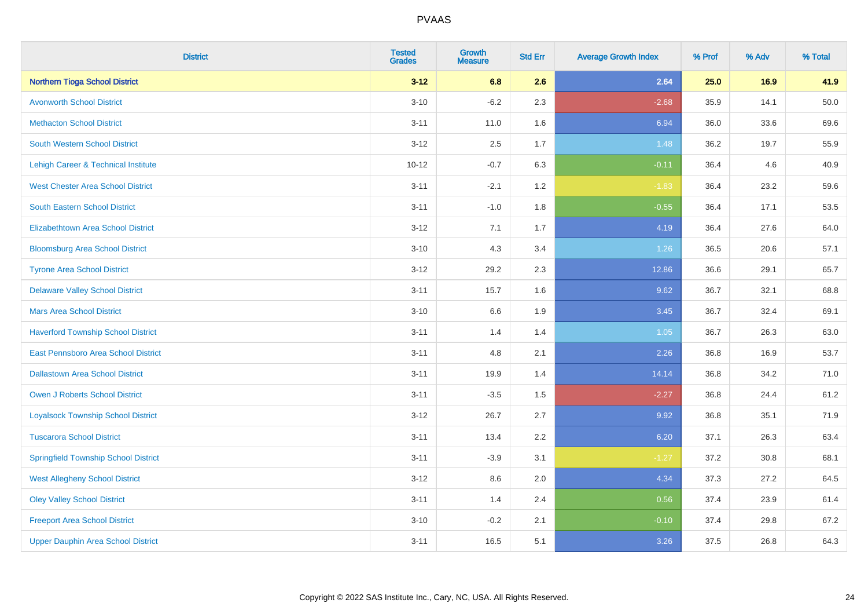| <b>District</b>                             | <b>Tested</b><br><b>Grades</b> | <b>Growth</b><br><b>Measure</b> | <b>Std Err</b> | <b>Average Growth Index</b> | % Prof | % Adv | % Total |
|---------------------------------------------|--------------------------------|---------------------------------|----------------|-----------------------------|--------|-------|---------|
| <b>Northern Tioga School District</b>       | $3 - 12$                       | 6.8                             | 2.6            | 2.64                        | 25.0   | 16.9  | 41.9    |
| <b>Avonworth School District</b>            | $3 - 10$                       | $-6.2$                          | 2.3            | $-2.68$                     | 35.9   | 14.1  | 50.0    |
| <b>Methacton School District</b>            | $3 - 11$                       | 11.0                            | 1.6            | 6.94                        | 36.0   | 33.6  | 69.6    |
| <b>South Western School District</b>        | $3 - 12$                       | 2.5                             | 1.7            | 1.48                        | 36.2   | 19.7  | 55.9    |
| Lehigh Career & Technical Institute         | $10 - 12$                      | $-0.7$                          | 6.3            | $-0.11$                     | 36.4   | 4.6   | 40.9    |
| <b>West Chester Area School District</b>    | $3 - 11$                       | $-2.1$                          | 1.2            | $-1.83$                     | 36.4   | 23.2  | 59.6    |
| <b>South Eastern School District</b>        | $3 - 11$                       | $-1.0$                          | 1.8            | $-0.55$                     | 36.4   | 17.1  | 53.5    |
| <b>Elizabethtown Area School District</b>   | $3 - 12$                       | 7.1                             | 1.7            | 4.19                        | 36.4   | 27.6  | 64.0    |
| <b>Bloomsburg Area School District</b>      | $3 - 10$                       | 4.3                             | 3.4            | 1.26                        | 36.5   | 20.6  | 57.1    |
| <b>Tyrone Area School District</b>          | $3 - 12$                       | 29.2                            | 2.3            | 12.86                       | 36.6   | 29.1  | 65.7    |
| <b>Delaware Valley School District</b>      | $3 - 11$                       | 15.7                            | 1.6            | 9.62                        | 36.7   | 32.1  | 68.8    |
| <b>Mars Area School District</b>            | $3 - 10$                       | 6.6                             | 1.9            | 3.45                        | 36.7   | 32.4  | 69.1    |
| <b>Haverford Township School District</b>   | $3 - 11$                       | 1.4                             | 1.4            | 1.05                        | 36.7   | 26.3  | 63.0    |
| East Pennsboro Area School District         | $3 - 11$                       | 4.8                             | 2.1            | 2.26                        | 36.8   | 16.9  | 53.7    |
| <b>Dallastown Area School District</b>      | $3 - 11$                       | 19.9                            | 1.4            | 14.14                       | 36.8   | 34.2  | 71.0    |
| <b>Owen J Roberts School District</b>       | $3 - 11$                       | $-3.5$                          | 1.5            | $-2.27$                     | 36.8   | 24.4  | 61.2    |
| <b>Loyalsock Township School District</b>   | $3-12$                         | 26.7                            | 2.7            | 9.92                        | 36.8   | 35.1  | 71.9    |
| <b>Tuscarora School District</b>            | $3 - 11$                       | 13.4                            | 2.2            | 6.20                        | 37.1   | 26.3  | 63.4    |
| <b>Springfield Township School District</b> | $3 - 11$                       | $-3.9$                          | 3.1            | $-1.27$                     | 37.2   | 30.8  | 68.1    |
| <b>West Allegheny School District</b>       | $3-12$                         | 8.6                             | 2.0            | 4.34                        | 37.3   | 27.2  | 64.5    |
| <b>Oley Valley School District</b>          | $3 - 11$                       | 1.4                             | 2.4            | 0.56                        | 37.4   | 23.9  | 61.4    |
| <b>Freeport Area School District</b>        | $3 - 10$                       | $-0.2$                          | 2.1            | $-0.10$                     | 37.4   | 29.8  | 67.2    |
| <b>Upper Dauphin Area School District</b>   | $3 - 11$                       | 16.5                            | 5.1            | 3.26                        | 37.5   | 26.8  | 64.3    |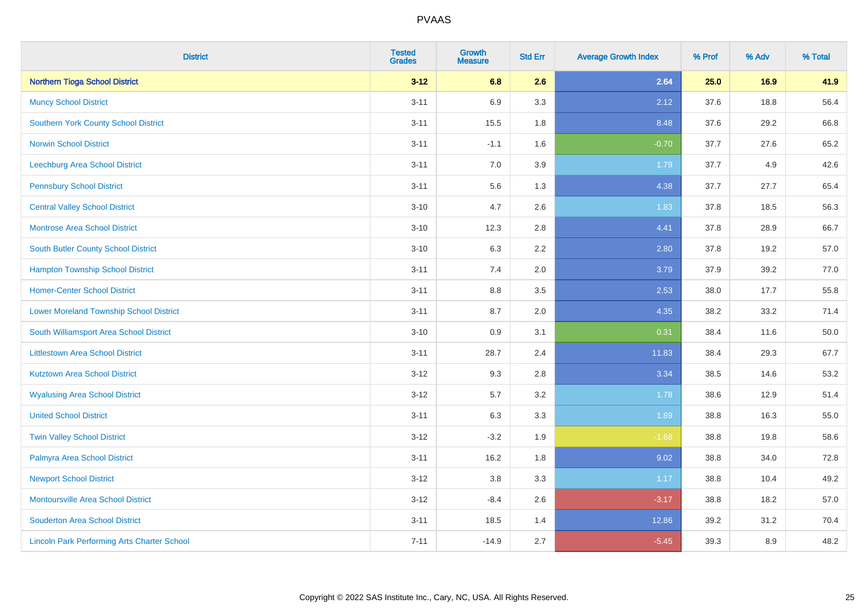| <b>District</b>                                    | <b>Tested</b><br><b>Grades</b> | <b>Growth</b><br><b>Measure</b> | <b>Std Err</b> | <b>Average Growth Index</b> | % Prof | % Adv | % Total |
|----------------------------------------------------|--------------------------------|---------------------------------|----------------|-----------------------------|--------|-------|---------|
| <b>Northern Tioga School District</b>              | $3 - 12$                       | 6.8                             | 2.6            | 2.64                        | 25.0   | 16.9  | 41.9    |
| <b>Muncy School District</b>                       | $3 - 11$                       | 6.9                             | 3.3            | 2.12                        | 37.6   | 18.8  | 56.4    |
| <b>Southern York County School District</b>        | $3 - 11$                       | 15.5                            | 1.8            | 8.48                        | 37.6   | 29.2  | 66.8    |
| <b>Norwin School District</b>                      | $3 - 11$                       | $-1.1$                          | 1.6            | $-0.70$                     | 37.7   | 27.6  | 65.2    |
| <b>Leechburg Area School District</b>              | $3 - 11$                       | 7.0                             | 3.9            | 1.79                        | 37.7   | 4.9   | 42.6    |
| <b>Pennsbury School District</b>                   | $3 - 11$                       | 5.6                             | 1.3            | 4.38                        | 37.7   | 27.7  | 65.4    |
| <b>Central Valley School District</b>              | $3 - 10$                       | 4.7                             | 2.6            | 1.83                        | 37.8   | 18.5  | 56.3    |
| <b>Montrose Area School District</b>               | $3 - 10$                       | 12.3                            | 2.8            | 4.41                        | 37.8   | 28.9  | 66.7    |
| South Butler County School District                | $3 - 10$                       | 6.3                             | 2.2            | 2.80                        | 37.8   | 19.2  | 57.0    |
| <b>Hampton Township School District</b>            | $3 - 11$                       | 7.4                             | 2.0            | 3.79                        | 37.9   | 39.2  | 77.0    |
| <b>Homer-Center School District</b>                | $3 - 11$                       | 8.8                             | 3.5            | 2.53                        | 38.0   | 17.7  | 55.8    |
| <b>Lower Moreland Township School District</b>     | $3 - 11$                       | 8.7                             | 2.0            | 4.35                        | 38.2   | 33.2  | 71.4    |
| South Williamsport Area School District            | $3 - 10$                       | $0.9\,$                         | 3.1            | 0.31                        | 38.4   | 11.6  | 50.0    |
| <b>Littlestown Area School District</b>            | $3 - 11$                       | 28.7                            | 2.4            | 11.83                       | 38.4   | 29.3  | 67.7    |
| <b>Kutztown Area School District</b>               | $3 - 12$                       | 9.3                             | 2.8            | 3.34                        | 38.5   | 14.6  | 53.2    |
| <b>Wyalusing Area School District</b>              | $3 - 12$                       | 5.7                             | 3.2            | 1.78                        | 38.6   | 12.9  | 51.4    |
| <b>United School District</b>                      | $3 - 11$                       | 6.3                             | 3.3            | 1.89                        | 38.8   | 16.3  | 55.0    |
| <b>Twin Valley School District</b>                 | $3 - 12$                       | $-3.2$                          | 1.9            | $-1.68$                     | 38.8   | 19.8  | 58.6    |
| Palmyra Area School District                       | $3 - 11$                       | 16.2                            | 1.8            | 9.02                        | 38.8   | 34.0  | 72.8    |
| <b>Newport School District</b>                     | $3 - 12$                       | 3.8                             | 3.3            | 1.17                        | 38.8   | 10.4  | 49.2    |
| Montoursville Area School District                 | $3-12$                         | $-8.4$                          | 2.6            | $-3.17$                     | 38.8   | 18.2  | 57.0    |
| <b>Souderton Area School District</b>              | $3 - 11$                       | 18.5                            | 1.4            | 12.86                       | 39.2   | 31.2  | 70.4    |
| <b>Lincoln Park Performing Arts Charter School</b> | $7 - 11$                       | $-14.9$                         | 2.7            | $-5.45$                     | 39.3   | 8.9   | 48.2    |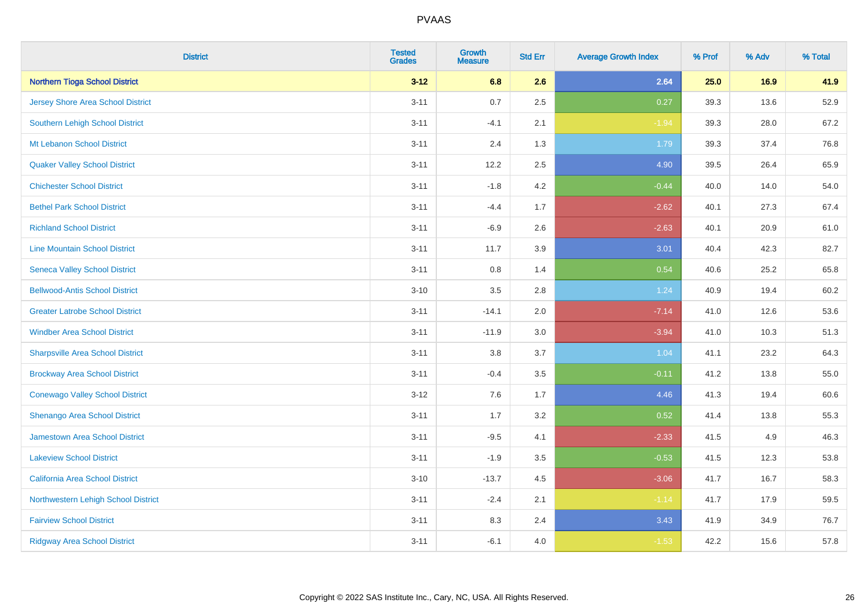| <b>District</b>                          | <b>Tested</b><br><b>Grades</b> | Growth<br><b>Measure</b> | <b>Std Err</b> | <b>Average Growth Index</b> | % Prof | % Adv | % Total |
|------------------------------------------|--------------------------------|--------------------------|----------------|-----------------------------|--------|-------|---------|
| <b>Northern Tioga School District</b>    | $3 - 12$                       | 6.8                      | 2.6            | 2.64                        | 25.0   | 16.9  | 41.9    |
| <b>Jersey Shore Area School District</b> | $3 - 11$                       | 0.7                      | 2.5            | 0.27                        | 39.3   | 13.6  | 52.9    |
| Southern Lehigh School District          | $3 - 11$                       | $-4.1$                   | 2.1            | $-1.94$                     | 39.3   | 28.0  | 67.2    |
| Mt Lebanon School District               | $3 - 11$                       | 2.4                      | 1.3            | 1.79                        | 39.3   | 37.4  | 76.8    |
| <b>Quaker Valley School District</b>     | $3 - 11$                       | 12.2                     | 2.5            | 4.90                        | 39.5   | 26.4  | 65.9    |
| <b>Chichester School District</b>        | $3 - 11$                       | $-1.8$                   | 4.2            | $-0.44$                     | 40.0   | 14.0  | 54.0    |
| <b>Bethel Park School District</b>       | $3 - 11$                       | $-4.4$                   | 1.7            | $-2.62$                     | 40.1   | 27.3  | 67.4    |
| <b>Richland School District</b>          | $3 - 11$                       | $-6.9$                   | 2.6            | $-2.63$                     | 40.1   | 20.9  | 61.0    |
| <b>Line Mountain School District</b>     | $3 - 11$                       | 11.7                     | 3.9            | 3.01                        | 40.4   | 42.3  | 82.7    |
| <b>Seneca Valley School District</b>     | $3 - 11$                       | 0.8                      | 1.4            | 0.54                        | 40.6   | 25.2  | 65.8    |
| <b>Bellwood-Antis School District</b>    | $3 - 10$                       | 3.5                      | 2.8            | 1.24                        | 40.9   | 19.4  | 60.2    |
| <b>Greater Latrobe School District</b>   | $3 - 11$                       | $-14.1$                  | 2.0            | $-7.14$                     | 41.0   | 12.6  | 53.6    |
| <b>Windber Area School District</b>      | $3 - 11$                       | $-11.9$                  | 3.0            | $-3.94$                     | 41.0   | 10.3  | 51.3    |
| <b>Sharpsville Area School District</b>  | $3 - 11$                       | $3.8\,$                  | 3.7            | 1.04                        | 41.1   | 23.2  | 64.3    |
| <b>Brockway Area School District</b>     | $3 - 11$                       | $-0.4$                   | 3.5            | $-0.11$                     | 41.2   | 13.8  | 55.0    |
| <b>Conewago Valley School District</b>   | $3 - 12$                       | 7.6                      | 1.7            | 4.46                        | 41.3   | 19.4  | 60.6    |
| Shenango Area School District            | $3 - 11$                       | 1.7                      | 3.2            | 0.52                        | 41.4   | 13.8  | 55.3    |
| Jamestown Area School District           | $3 - 11$                       | $-9.5$                   | 4.1            | $-2.33$                     | 41.5   | 4.9   | 46.3    |
| <b>Lakeview School District</b>          | $3 - 11$                       | $-1.9$                   | 3.5            | $-0.53$                     | 41.5   | 12.3  | 53.8    |
| California Area School District          | $3 - 10$                       | $-13.7$                  | 4.5            | $-3.06$                     | 41.7   | 16.7  | 58.3    |
| Northwestern Lehigh School District      | $3 - 11$                       | $-2.4$                   | 2.1            | $-1.14$                     | 41.7   | 17.9  | 59.5    |
| <b>Fairview School District</b>          | $3 - 11$                       | 8.3                      | 2.4            | 3.43                        | 41.9   | 34.9  | 76.7    |
| <b>Ridgway Area School District</b>      | $3 - 11$                       | $-6.1$                   | 4.0            | $-1.53$                     | 42.2   | 15.6  | 57.8    |